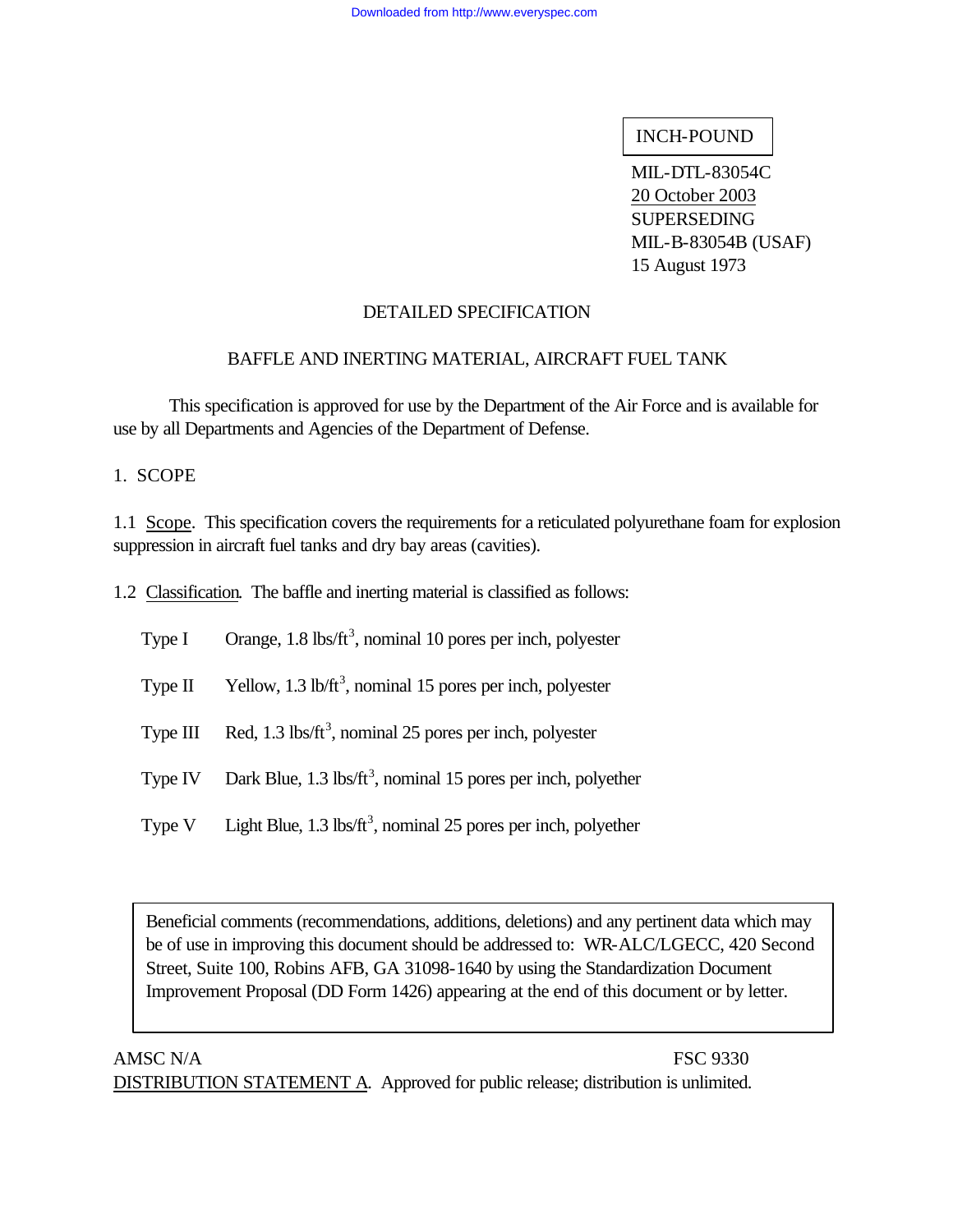#### INCH-POUND

MIL-DTL-83054C 20 October 2003 SUPERSEDING MIL-B-83054B (USAF) 15 August 1973

# DETAILED SPECIFICATION

#### BAFFLE AND INERTING MATERIAL, AIRCRAFT FUEL TANK

This specification is approved for use by the Department of the Air Force and is available for use by all Departments and Agencies of the Department of Defense.

1. SCOPE

1.1 Scope. This specification covers the requirements for a reticulated polyurethane foam for explosion suppression in aircraft fuel tanks and dry bay areas (cavities).

1.2 Classification. The baffle and inerting material is classified as follows:

| Orange, $1.8$ lbs/ft <sup>3</sup> , nominal 10 pores per inch, polyester |
|--------------------------------------------------------------------------|
|                                                                          |

- Type II Yellow, 1.3 lb/ft<sup>3</sup>, nominal 15 pores per inch, polyester
- Type III Red,  $1.3$  lbs/ft<sup>3</sup>, nominal 25 pores per inch, polyester
- Type IV Dark Blue,  $1.3$  lbs/ft<sup>3</sup>, nominal 15 pores per inch, polyether
- Type V Light Blue, 1.3 lbs/ $ft^3$ , nominal 25 pores per inch, polyether

Beneficial comments (recommendations, additions, deletions) and any pertinent data which may be of use in improving this document should be addressed to: WR-ALC/LGECC, 420 Second Street, Suite 100, Robins AFB, GA 31098-1640 by using the Standardization Document Improvement Proposal (DD Form 1426) appearing at the end of this document or by letter.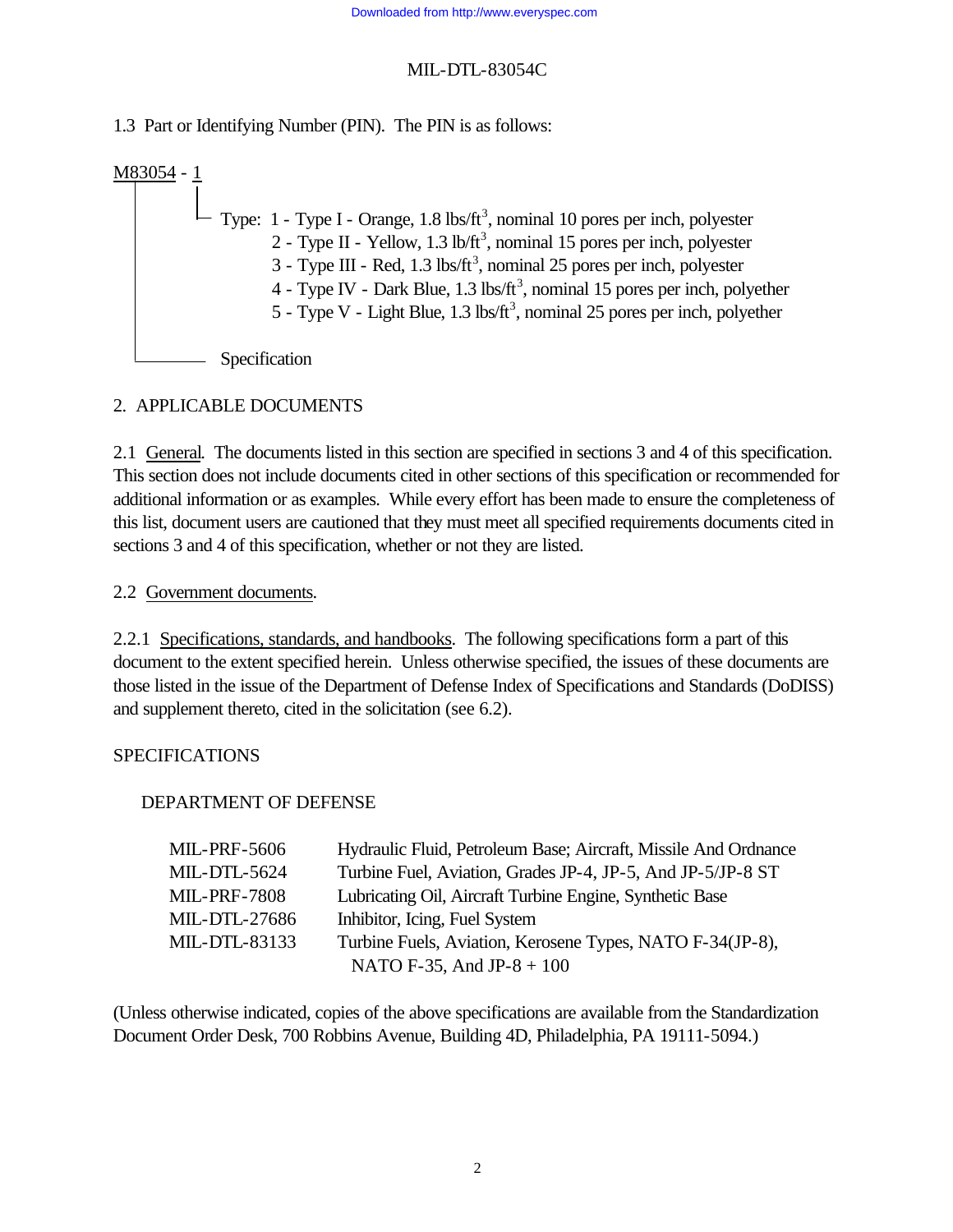1.3 Part or Identifying Number (PIN). The PIN is as follows:

M83054 - 1  $-$  Type: 1 - Type I - Orange, 1.8 lbs/ft<sup>3</sup>, nominal 10 pores per inch, polyester 2 - Type II - Yellow, 1.3 lb/ft<sup>3</sup>, nominal 15 pores per inch, polyester  $3$  - Type III - Red, 1.3 lbs/ft<sup>3</sup>, nominal 25 pores per inch, polyester 4 - Type IV - Dark Blue,  $1.3 \text{ lbs/ft}^3$ , nominal 15 pores per inch, polyether 5 - Type V - Light Blue,  $1.3 \text{ lbs/ft}^3$ , nominal 25 pores per inch, polyether Specification

#### 2. APPLICABLE DOCUMENTS

2.1 General. The documents listed in this section are specified in sections 3 and 4 of this specification. This section does not include documents cited in other sections of this specification or recommended for additional information or as examples. While every effort has been made to ensure the completeness of this list, document users are cautioned that they must meet all specified requirements documents cited in sections 3 and 4 of this specification, whether or not they are listed.

2.2 Government documents.

2.2.1 Specifications, standards, and handbooks. The following specifications form a part of this document to the extent specified herein. Unless otherwise specified, the issues of these documents are those listed in the issue of the Department of Defense Index of Specifications and Standards (DoDISS) and supplement thereto, cited in the solicitation (see 6.2).

#### SPECIFICATIONS

#### DEPARTMENT OF DEFENSE

| <b>MIL-PRF-5606</b> | Hydraulic Fluid, Petroleum Base; Aircraft, Missile And Ordnance |
|---------------------|-----------------------------------------------------------------|
| <b>MIL-DTL-5624</b> | Turbine Fuel, Aviation, Grades JP-4, JP-5, And JP-5/JP-8 ST     |
| <b>MIL-PRF-7808</b> | Lubricating Oil, Aircraft Turbine Engine, Synthetic Base        |
| MIL-DTL-27686       | Inhibitor, Icing, Fuel System                                   |
| MIL-DTL-83133       | Turbine Fuels, Aviation, Kerosene Types, NATO F-34(JP-8),       |
|                     | NATO F-35, And JP-8 + $100$                                     |

(Unless otherwise indicated, copies of the above specifications are available from the Standardization Document Order Desk, 700 Robbins Avenue, Building 4D, Philadelphia, PA 19111-5094.)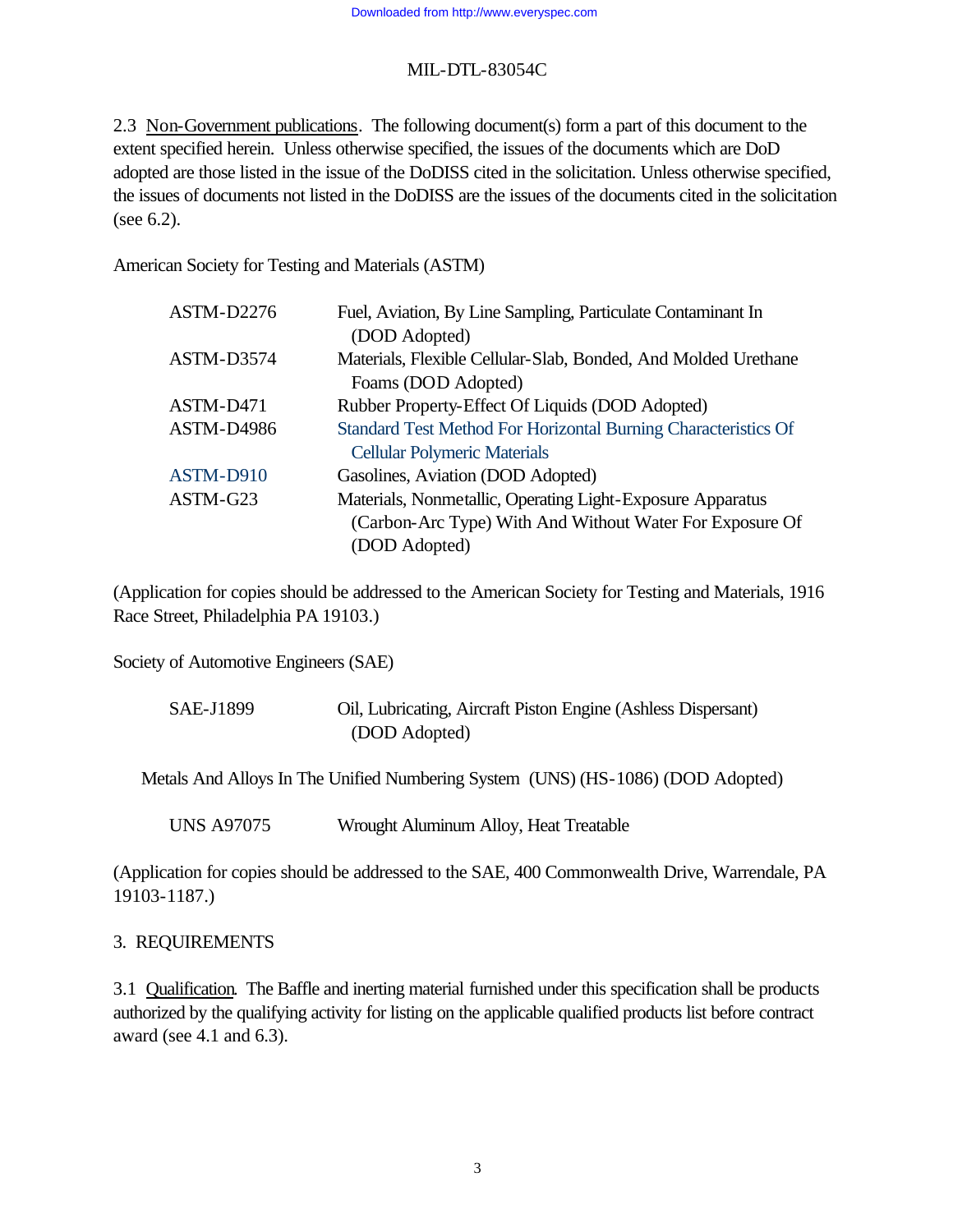2.3 Non-Government publications. The following document(s) form a part of this document to the extent specified herein. Unless otherwise specified, the issues of the documents which are DoD adopted are those listed in the issue of the DoDISS cited in the solicitation. Unless otherwise specified, the issues of documents not listed in the DoDISS are the issues of the documents cited in the solicitation (see 6.2).

American Society for Testing and Materials (ASTM)

| ASTM-D2276        | Fuel, Aviation, By Line Sampling, Particulate Contaminant In   |
|-------------------|----------------------------------------------------------------|
|                   | (DOD Adopted)                                                  |
| ASTM-D3574        | Materials, Flexible Cellular-Slab, Bonded, And Molded Urethane |
|                   | Foams (DOD Adopted)                                            |
| ASTM-D471         | Rubber Property-Effect Of Liquids (DOD Adopted)                |
| <b>ASTM-D4986</b> | Standard Test Method For Horizontal Burning Characteristics Of |
|                   | <b>Cellular Polymeric Materials</b>                            |
| ASTM-D910         | Gasolines, Aviation (DOD Adopted)                              |
| ASTM-G23          | Materials, Nonmetallic, Operating Light-Exposure Apparatus     |
|                   | (Carbon-Arc Type) With And Without Water For Exposure Of       |
|                   | (DOD Adopted)                                                  |

(Application for copies should be addressed to the American Society for Testing and Materials, 1916 Race Street, Philadelphia PA 19103.)

Society of Automotive Engineers (SAE)

| SAE-J1899 | Oil, Lubricating, Aircraft Piston Engine (Ashless Dispersant) |
|-----------|---------------------------------------------------------------|
|           | (DOD Adopted)                                                 |

Metals And Alloys In The Unified Numbering System (UNS) (HS-1086) (DOD Adopted)

UNS A97075 Wrought Aluminum Alloy, Heat Treatable

(Application for copies should be addressed to the SAE, 400 Commonwealth Drive, Warrendale, PA 19103-1187.)

#### 3. REQUIREMENTS

3.1 Qualification. The Baffle and inerting material furnished under this specification shall be products authorized by the qualifying activity for listing on the applicable qualified products list before contract award (see 4.1 and 6.3).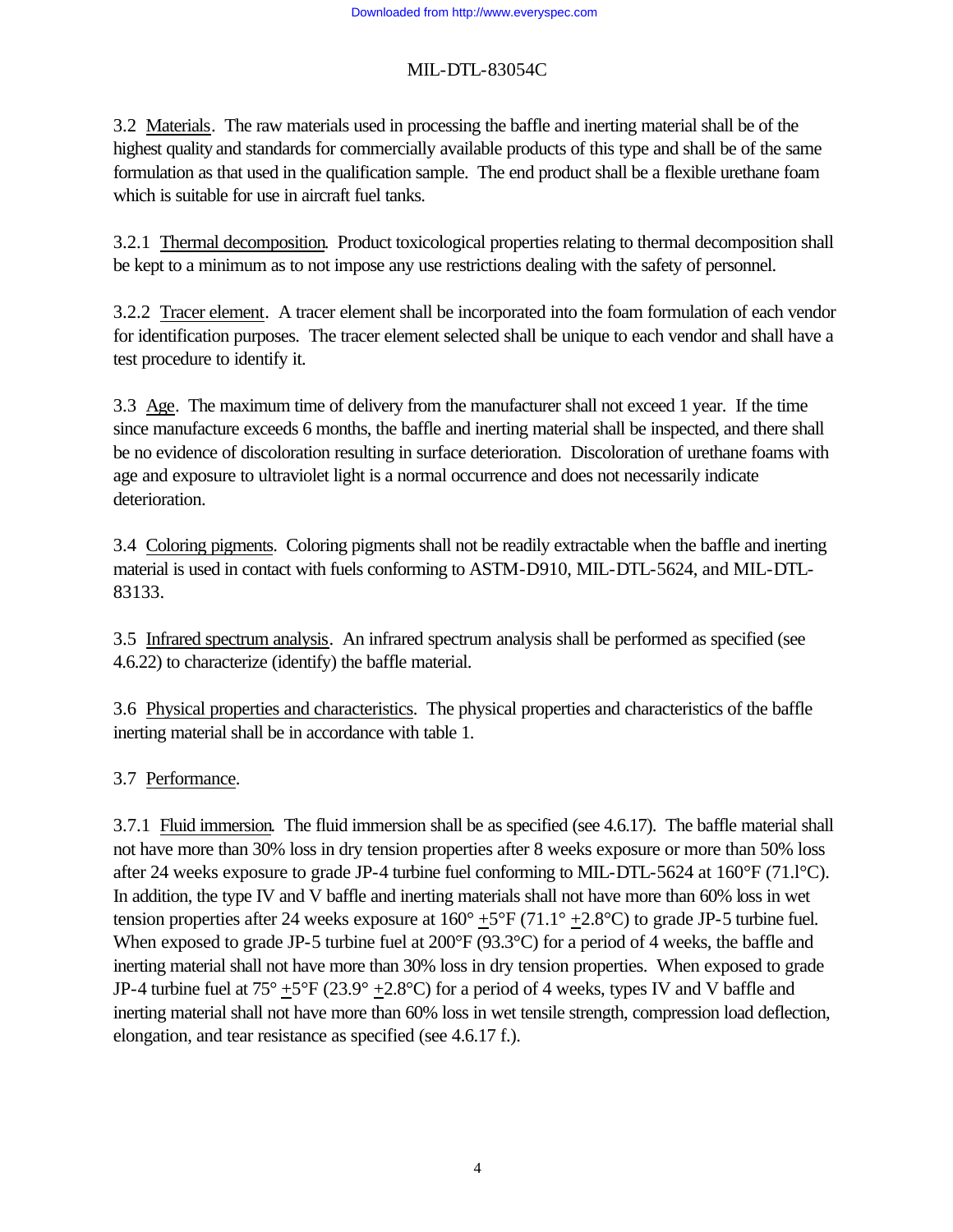3.2 Materials. The raw materials used in processing the baffle and inerting material shall be of the highest quality and standards for commercially available products of this type and shall be of the same formulation as that used in the qualification sample. The end product shall be a flexible urethane foam which is suitable for use in aircraft fuel tanks.

3.2.1 Thermal decomposition. Product toxicological properties relating to thermal decomposition shall be kept to a minimum as to not impose any use restrictions dealing with the safety of personnel.

3.2.2 Tracer element. A tracer element shall be incorporated into the foam formulation of each vendor for identification purposes. The tracer element selected shall be unique to each vendor and shall have a test procedure to identify it.

3.3 Age. The maximum time of delivery from the manufacturer shall not exceed 1 year. If the time since manufacture exceeds 6 months, the baffle and inerting material shall be inspected, and there shall be no evidence of discoloration resulting in surface deterioration. Discoloration of urethane foams with age and exposure to ultraviolet light is a normal occurrence and does not necessarily indicate deterioration.

3.4 Coloring pigments. Coloring pigments shall not be readily extractable when the baffle and inerting material is used in contact with fuels conforming to ASTM-D910, MIL-DTL-5624, and MIL-DTL-83133.

3.5 Infrared spectrum analysis. An infrared spectrum analysis shall be performed as specified (see 4.6.22) to characterize (identify) the baffle material.

3.6 Physical properties and characteristics. The physical properties and characteristics of the baffle inerting material shall be in accordance with table 1.

# 3.7 Performance.

3.7.1 Fluid immersion. The fluid immersion shall be as specified (see 4.6.17). The baffle material shall not have more than 30% loss in dry tension properties after 8 weeks exposure or more than 50% loss after 24 weeks exposure to grade JP-4 turbine fuel conforming to MIL-DTL-5624 at 160°F (71.l°C). In addition, the type IV and V baffle and inerting materials shall not have more than 60% loss in wet tension properties after 24 weeks exposure at  $160^{\circ}$  +5°F (71.1° +2.8°C) to grade JP-5 turbine fuel. When exposed to grade JP-5 turbine fuel at 200°F (93.3°C) for a period of 4 weeks, the baffle and inerting material shall not have more than 30% loss in dry tension properties. When exposed to grade JP-4 turbine fuel at  $75^{\circ}$  +5°F (23.9° +2.8°C) for a period of 4 weeks, types IV and V baffle and inerting material shall not have more than 60% loss in wet tensile strength, compression load deflection, elongation, and tear resistance as specified (see 4.6.17 f.).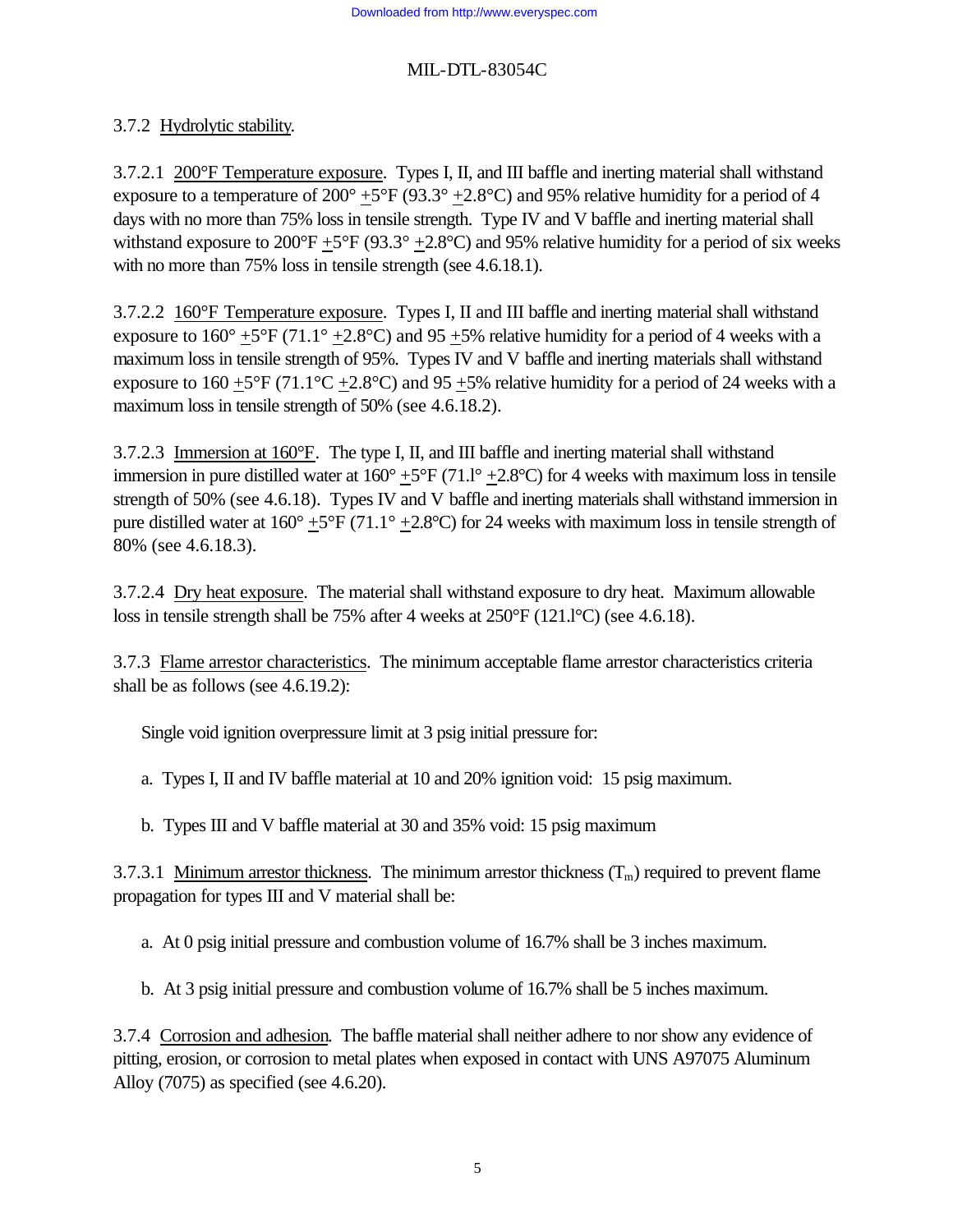# 3.7.2 Hydrolytic stability.

3.7.2.1 200°F Temperature exposure. Types I, II, and III baffle and inerting material shall withstand exposure to a temperature of  $200^{\circ}$  +5°F (93.3° +2.8°C) and 95% relative humidity for a period of 4 days with no more than 75% loss in tensile strength. Type IV and V baffle and inerting material shall withstand exposure to  $200^{\circ}F + 5^{\circ}F (93.3^{\circ} + 2.8^{\circ}C)$  and 95% relative humidity for a period of six weeks with no more than 75% loss in tensile strength (see 4.6.18.1).

3.7.2.2 160°F Temperature exposure. Types I, II and III baffle and inerting material shall withstand exposure to  $160^{\circ}$  +5°F (71.1° +2.8°C) and 95 +5% relative humidity for a period of 4 weeks with a maximum loss in tensile strength of 95%. Types IV and V baffle and inerting materials shall withstand exposure to  $160 + 5^{\circ}F (71.1^{\circ}C + 2.8^{\circ}C)$  and  $95 + 5\%$  relative humidity for a period of 24 weeks with a maximum loss in tensile strength of 50% (see 4.6.18.2).

3.7.2.3 Immersion at 160°F. The type I, II, and III baffle and inerting material shall withstand immersion in pure distilled water at  $160^{\circ}$  +5°F (71.1° +2.8°C) for 4 weeks with maximum loss in tensile strength of 50% (see 4.6.18). Types IV and V baffle and inerting materials shall withstand immersion in pure distilled water at  $160^{\circ}$  +5°F (71.1° +2.8°C) for 24 weeks with maximum loss in tensile strength of 80% (see 4.6.18.3).

3.7.2.4 Dry heat exposure. The material shall withstand exposure to dry heat. Maximum allowable loss in tensile strength shall be 75% after 4 weeks at 250°F (121.l°C) (see 4.6.18).

3.7.3 Flame arrestor characteristics. The minimum acceptable flame arrestor characteristics criteria shall be as follows (see 4.6.19.2):

Single void ignition overpressure limit at 3 psig initial pressure for:

a. Types I, II and IV baffle material at 10 and 20% ignition void: 15 psig maximum.

b. Types III and V baffle material at 30 and 35% void: 15 psig maximum

3.7.3.1 Minimum arrestor thickness. The minimum arrestor thickness  $(T_m)$  required to prevent flame propagation for types III and V material shall be:

a. At 0 psig initial pressure and combustion volume of 16.7% shall be 3 inches maximum.

b. At 3 psig initial pressure and combustion volume of 16.7% shall be 5 inches maximum.

3.7.4 Corrosion and adhesion. The baffle material shall neither adhere to nor show any evidence of pitting, erosion, or corrosion to metal plates when exposed in contact with UNS A97075 Aluminum Alloy (7075) as specified (see 4.6.20).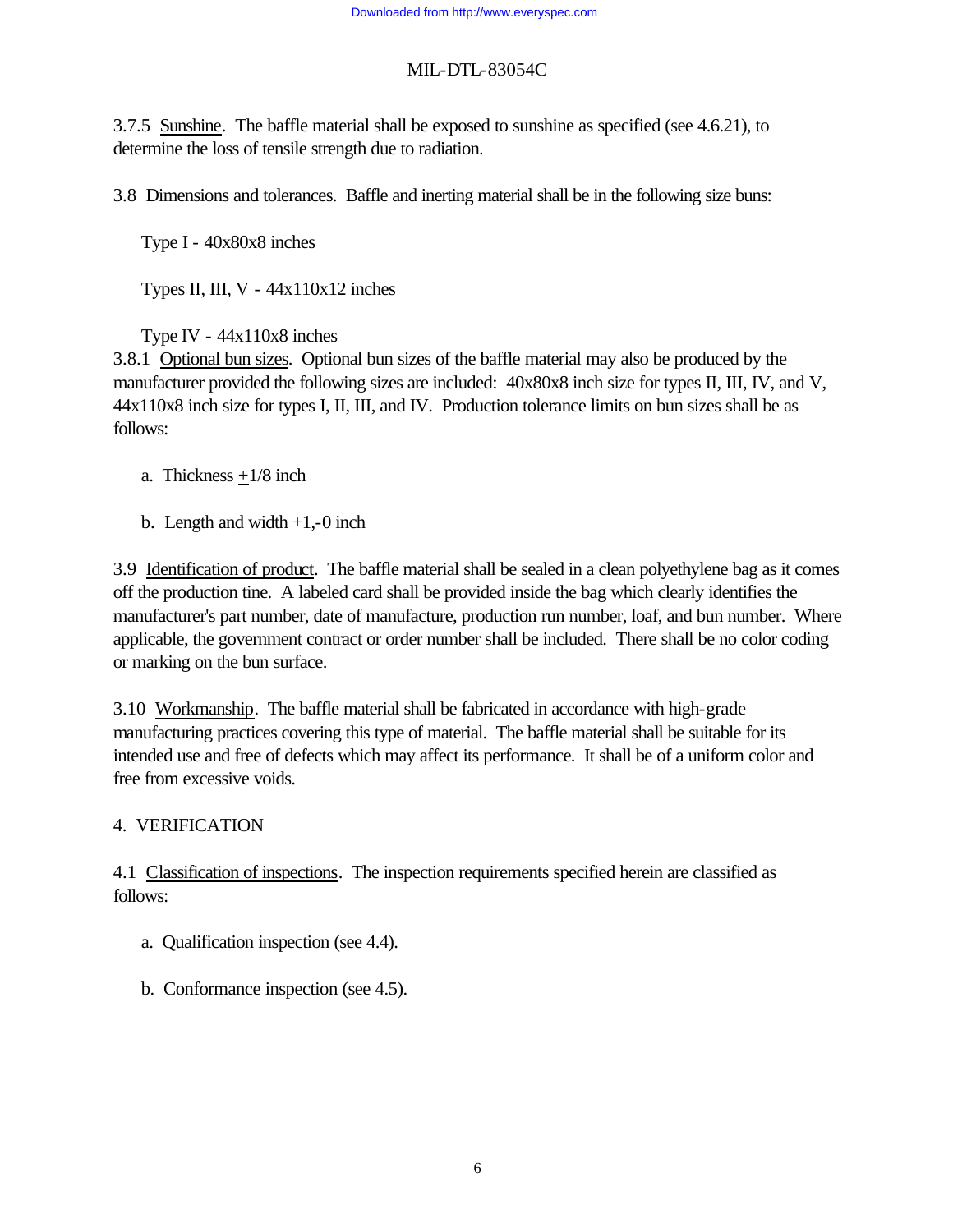3.7.5 Sunshine. The baffle material shall be exposed to sunshine as specified (see 4.6.21), to determine the loss of tensile strength due to radiation.

3.8 Dimensions and tolerances. Baffle and inerting material shall be in the following size buns:

Type I - 40x80x8 inches

Types II, III,  $V - 44x110x12$  inches

Type IV - 44x110x8 inches

3.8.1 Optional bun sizes. Optional bun sizes of the baffle material may also be produced by the manufacturer provided the following sizes are included: 40x80x8 inch size for types II, III, IV, and V, 44x110x8 inch size for types I, II, III, and IV. Production tolerance limits on bun sizes shall be as follows:

- a. Thickness  $+1/8$  inch
- b. Length and width  $+1,-0$  inch

3.9 Identification of product. The baffle material shall be sealed in a clean polyethylene bag as it comes off the production tine. A labeled card shall be provided inside the bag which clearly identifies the manufacturer's part number, date of manufacture, production run number, loaf, and bun number. Where applicable, the government contract or order number shall be included. There shall be no color coding or marking on the bun surface.

3.10 Workmanship. The baffle material shall be fabricated in accordance with high-grade manufacturing practices covering this type of material. The baffle material shall be suitable for its intended use and free of defects which may affect its performance. It shall be of a uniform color and free from excessive voids.

# 4. VERIFICATION

4.1 Classification of inspections. The inspection requirements specified herein are classified as follows:

- a. Qualification inspection (see 4.4).
- b. Conformance inspection (see 4.5).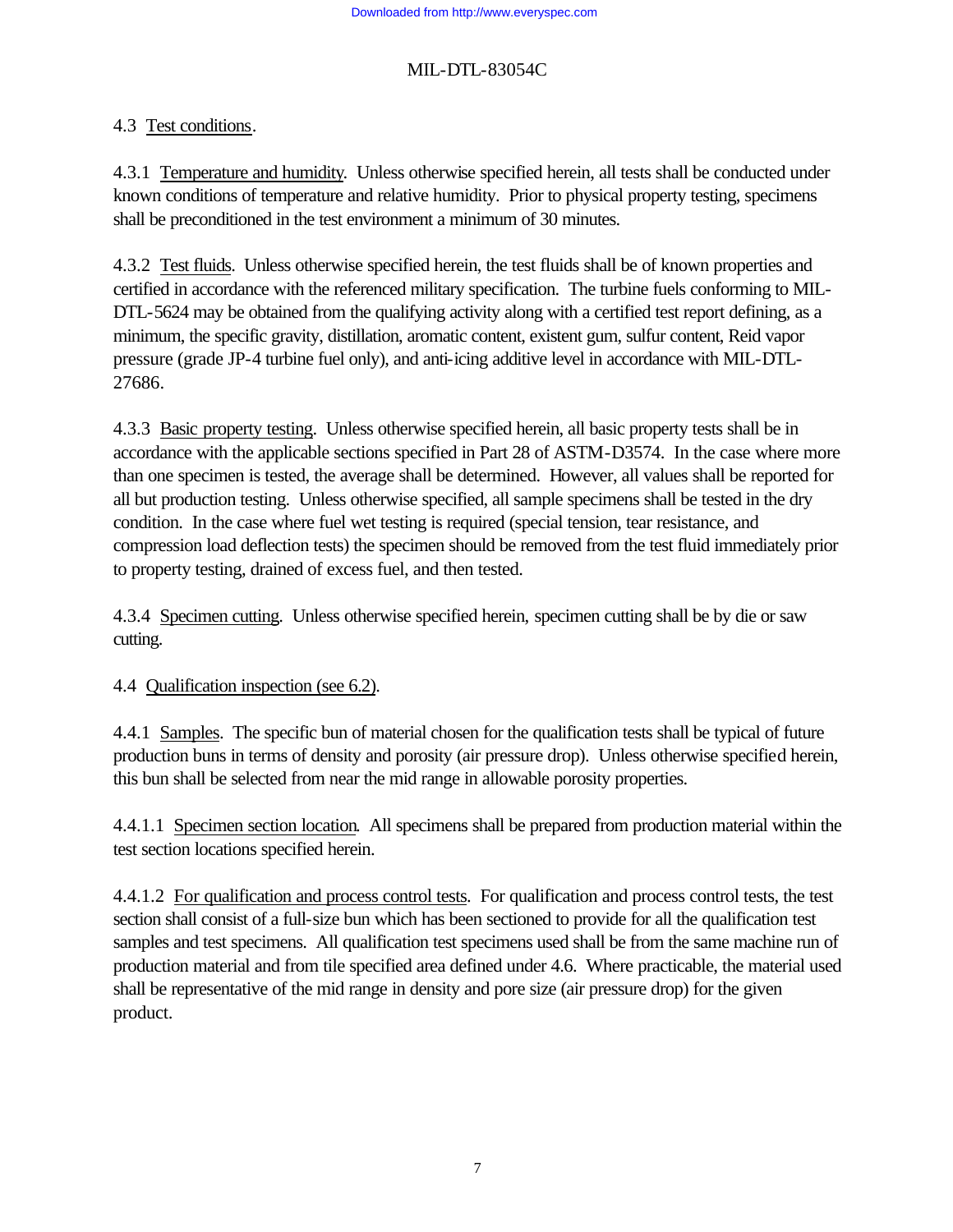# 4.3 Test conditions.

4.3.1 Temperature and humidity. Unless otherwise specified herein, all tests shall be conducted under known conditions of temperature and relative humidity. Prior to physical property testing, specimens shall be preconditioned in the test environment a minimum of 30 minutes.

4.3.2 Test fluids. Unless otherwise specified herein, the test fluids shall be of known properties and certified in accordance with the referenced military specification. The turbine fuels conforming to MIL-DTL-5624 may be obtained from the qualifying activity along with a certified test report defining, as a minimum, the specific gravity, distillation, aromatic content, existent gum, sulfur content, Reid vapor pressure (grade JP-4 turbine fuel only), and anti-icing additive level in accordance with MIL-DTL-27686.

4.3.3 Basic property testing. Unless otherwise specified herein, all basic property tests shall be in accordance with the applicable sections specified in Part 28 of ASTM-D3574. In the case where more than one specimen is tested, the average shall be determined. However, all values shall be reported for all but production testing. Unless otherwise specified, all sample specimens shall be tested in the dry condition. In the case where fuel wet testing is required (special tension, tear resistance, and compression load deflection tests) the specimen should be removed from the test fluid immediately prior to property testing, drained of excess fuel, and then tested.

4.3.4 Specimen cutting. Unless otherwise specified herein, specimen cutting shall be by die or saw cutting.

4.4 Qualification inspection (see 6.2).

4.4.1 Samples. The specific bun of material chosen for the qualification tests shall be typical of future production buns in terms of density and porosity (air pressure drop). Unless otherwise specified herein, this bun shall be selected from near the mid range in allowable porosity properties.

4.4.1.1 Specimen section location. All specimens shall be prepared from production material within the test section locations specified herein.

4.4.1.2 For qualification and process control tests. For qualification and process control tests, the test section shall consist of a full-size bun which has been sectioned to provide for all the qualification test samples and test specimens. All qualification test specimens used shall be from the same machine run of production material and from tile specified area defined under 4.6. Where practicable, the material used shall be representative of the mid range in density and pore size (air pressure drop) for the given product.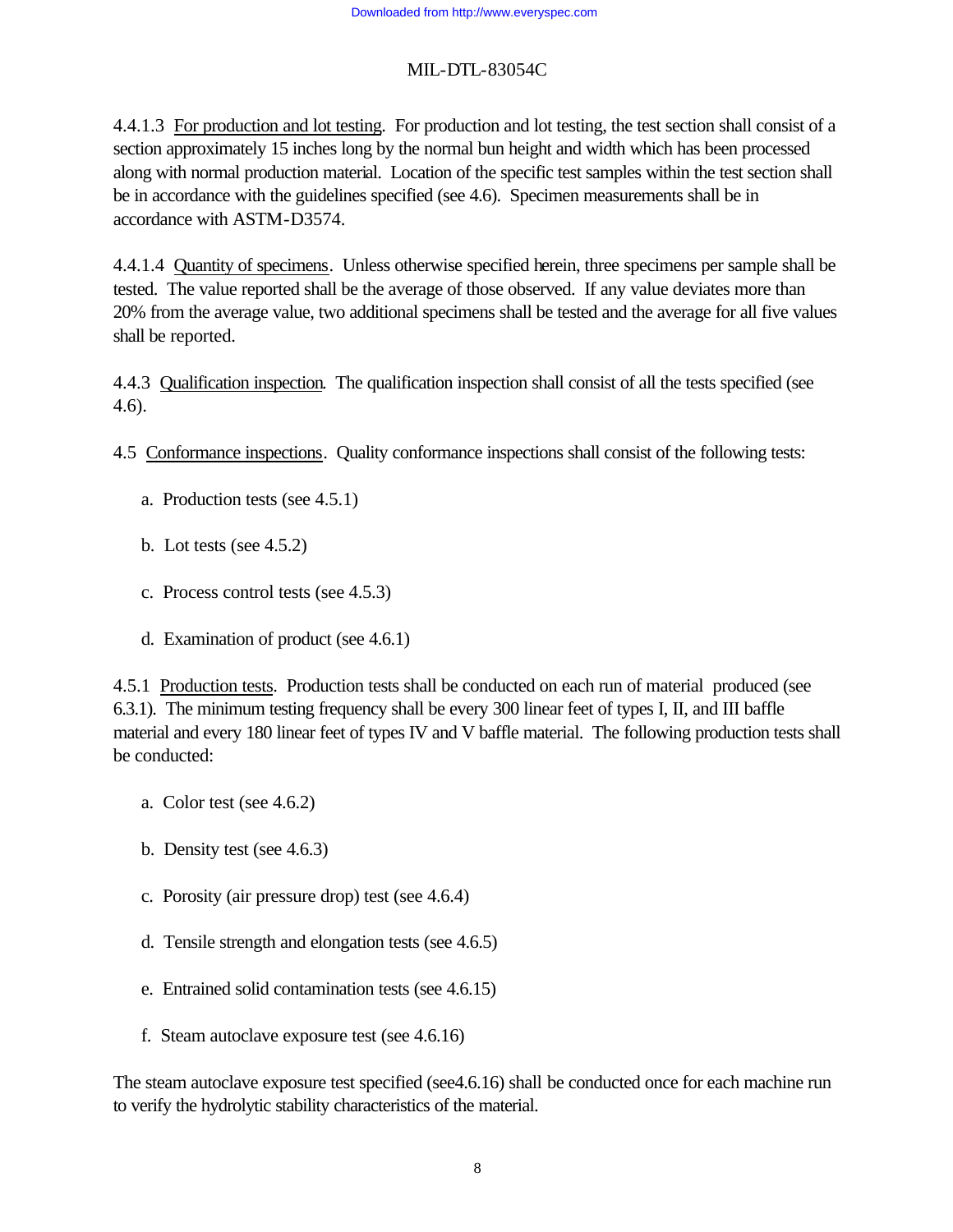4.4.1.3 For production and lot testing. For production and lot testing, the test section shall consist of a section approximately 15 inches long by the normal bun height and width which has been processed along with normal production material. Location of the specific test samples within the test section shall be in accordance with the guidelines specified (see 4.6). Specimen measurements shall be in accordance with ASTM-D3574.

4.4.1.4 Quantity of specimens. Unless otherwise specified herein, three specimens per sample shall be tested. The value reported shall be the average of those observed. If any value deviates more than 20% from the average value, two additional specimens shall be tested and the average for all five values shall be reported.

4.4.3 Qualification inspection. The qualification inspection shall consist of all the tests specified (see 4.6).

- 4.5 Conformance inspections. Quality conformance inspections shall consist of the following tests:
	- a. Production tests (see 4.5.1)
	- b. Lot tests (see 4.5.2)
	- c. Process control tests (see 4.5.3)
	- d. Examination of product (see 4.6.1)

4.5.1 Production tests. Production tests shall be conducted on each run of material produced (see 6.3.1). The minimum testing frequency shall be every 300 linear feet of types I, II, and III baffle material and every 180 linear feet of types IV and V baffle material. The following production tests shall be conducted:

- a. Color test (see 4.6.2)
- b. Density test (see 4.6.3)
- c. Porosity (air pressure drop) test (see 4.6.4)
- d. Tensile strength and elongation tests (see 4.6.5)
- e. Entrained solid contamination tests (see 4.6.15)
- f. Steam autoclave exposure test (see 4.6.16)

The steam autoclave exposure test specified (see4.6.16) shall be conducted once for each machine run to verify the hydrolytic stability characteristics of the material.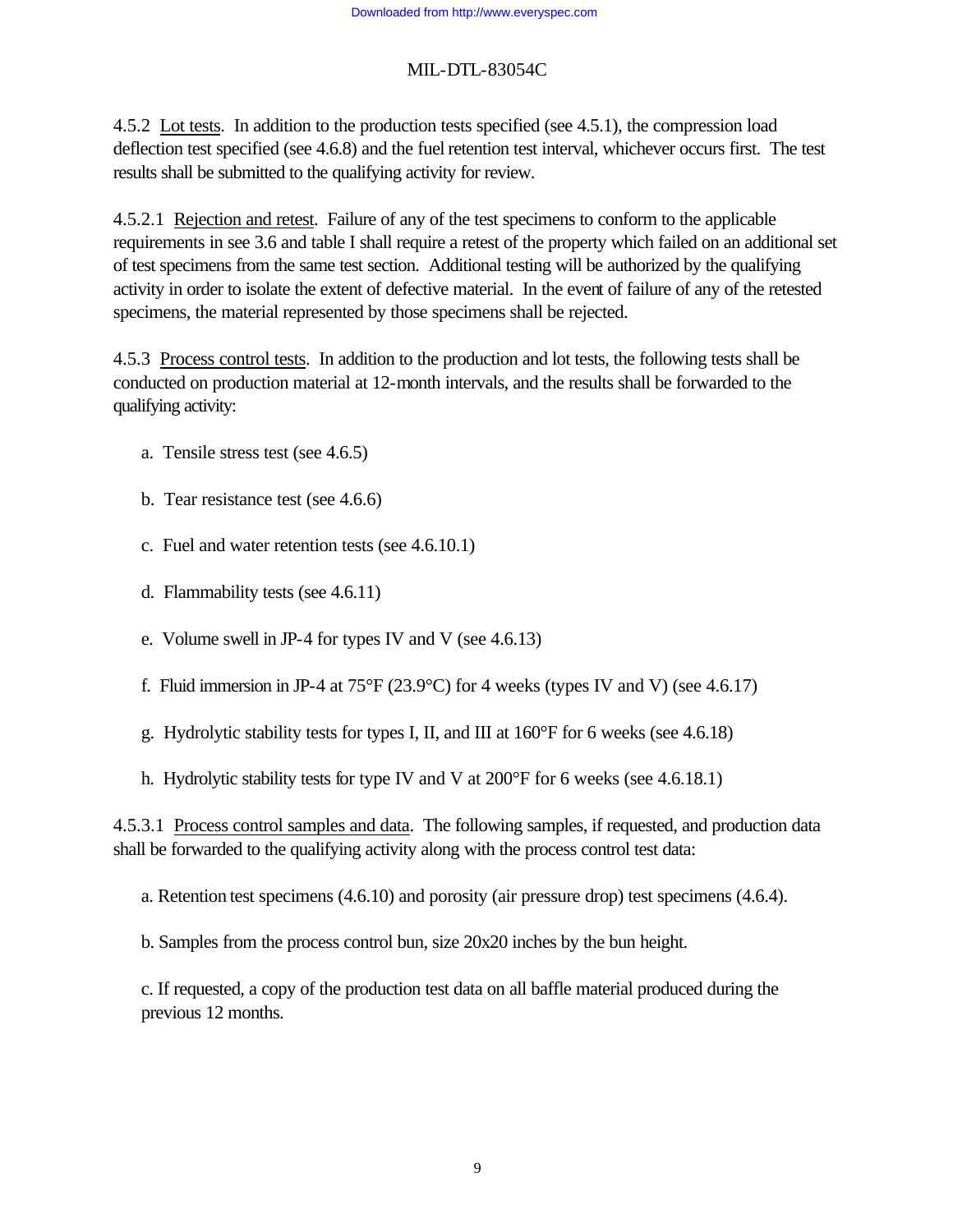4.5.2 Lot tests. In addition to the production tests specified (see 4.5.1), the compression load deflection test specified (see 4.6.8) and the fuel retention test interval, whichever occurs first. The test results shall be submitted to the qualifying activity for review.

4.5.2.1 Rejection and retest. Failure of any of the test specimens to conform to the applicable requirements in see 3.6 and table I shall require a retest of the property which failed on an additional set of test specimens from the same test section. Additional testing will be authorized by the qualifying activity in order to isolate the extent of defective material. In the event of failure of any of the retested specimens, the material represented by those specimens shall be rejected.

4.5.3 Process control tests. In addition to the production and lot tests, the following tests shall be conducted on production material at 12-month intervals, and the results shall be forwarded to the qualifying activity:

- a. Tensile stress test (see 4.6.5)
- b. Tear resistance test (see 4.6.6)
- c. Fuel and water retention tests (see 4.6.10.1)
- d. Flammability tests (see 4.6.11)
- e. Volume swell in JP-4 for types IV and V (see 4.6.13)
- f. Fluid immersion in JP-4 at  $75^{\circ}F(23.9^{\circ}C)$  for 4 weeks (types IV and V) (see 4.6.17)
- g. Hydrolytic stability tests for types I, II, and III at 160°F for 6 weeks (see 4.6.18)
- h. Hydrolytic stability tests for type IV and V at 200°F for 6 weeks (see 4.6.18.1)

4.5.3.1 Process control samples and data. The following samples, if requested, and production data shall be forwarded to the qualifying activity along with the process control test data:

a. Retention test specimens (4.6.10) and porosity (air pressure drop) test specimens (4.6.4).

b. Samples from the process control bun, size 20x20 inches by the bun height.

c. If requested, a copy of the production test data on all baffle material produced during the previous 12 months.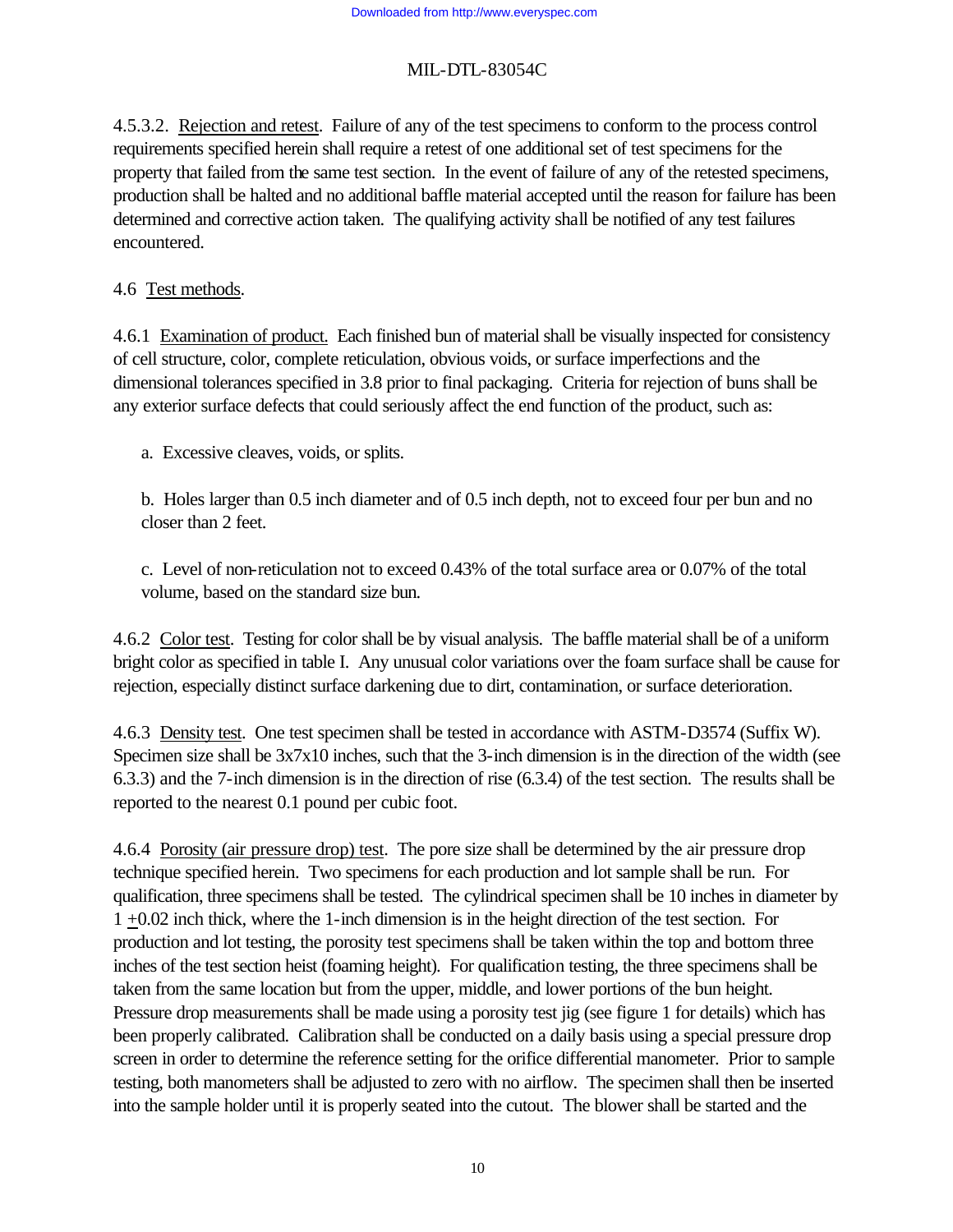4.5.3.2. Rejection and retest. Failure of any of the test specimens to conform to the process control requirements specified herein shall require a retest of one additional set of test specimens for the property that failed from the same test section. In the event of failure of any of the retested specimens, production shall be halted and no additional baffle material accepted until the reason for failure has been determined and corrective action taken. The qualifying activity shall be notified of any test failures encountered.

# 4.6 Test methods.

4.6.1 Examination of product. Each finished bun of material shall be visually inspected for consistency of cell structure, color, complete reticulation, obvious voids, or surface imperfections and the dimensional tolerances specified in 3.8 prior to final packaging. Criteria for rejection of buns shall be any exterior surface defects that could seriously affect the end function of the product, such as:

a. Excessive cleaves, voids, or splits.

b. Holes larger than 0.5 inch diameter and of 0.5 inch depth, not to exceed four per bun and no closer than 2 feet.

c. Level of non-reticulation not to exceed 0.43% of the total surface area or 0.07% of the total volume, based on the standard size bun.

4.6.2 Color test. Testing for color shall be by visual analysis. The baffle material shall be of a uniform bright color as specified in table I. Any unusual color variations over the foam surface shall be cause for rejection, especially distinct surface darkening due to dirt, contamination, or surface deterioration.

4.6.3 Density test. One test specimen shall be tested in accordance with ASTM-D3574 (Suffix W). Specimen size shall be  $3x7x10$  inches, such that the 3-inch dimension is in the direction of the width (see 6.3.3) and the 7-inch dimension is in the direction of rise (6.3.4) of the test section. The results shall be reported to the nearest 0.1 pound per cubic foot.

4.6.4 Porosity (air pressure drop) test. The pore size shall be determined by the air pressure drop technique specified herein. Two specimens for each production and lot sample shall be run. For qualification, three specimens shall be tested. The cylindrical specimen shall be 10 inches in diameter by 1 +0.02 inch thick, where the 1-inch dimension is in the height direction of the test section. For production and lot testing, the porosity test specimens shall be taken within the top and bottom three inches of the test section heist (foaming height). For qualification testing, the three specimens shall be taken from the same location but from the upper, middle, and lower portions of the bun height. Pressure drop measurements shall be made using a porosity test jig (see figure 1 for details) which has been properly calibrated. Calibration shall be conducted on a daily basis using a special pressure drop screen in order to determine the reference setting for the orifice differential manometer. Prior to sample testing, both manometers shall be adjusted to zero with no airflow. The specimen shall then be inserted into the sample holder until it is properly seated into the cutout. The blower shall be started and the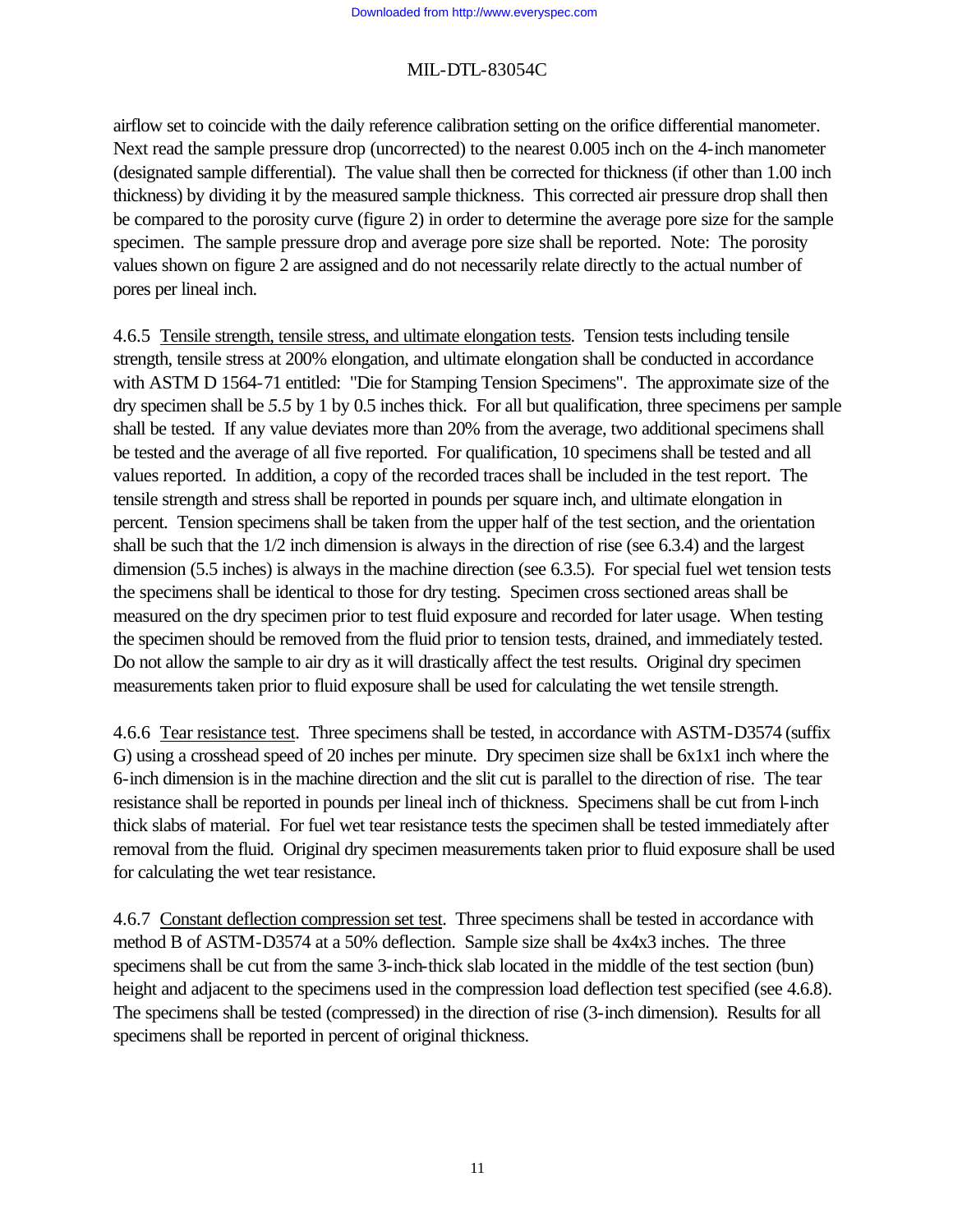airflow set to coincide with the daily reference calibration setting on the orifice differential manometer. Next read the sample pressure drop (uncorrected) to the nearest 0.005 inch on the 4-inch manometer (designated sample differential). The value shall then be corrected for thickness (if other than 1.00 inch thickness) by dividing it by the measured sample thickness. This corrected air pressure drop shall then be compared to the porosity curve (figure 2) in order to determine the average pore size for the sample specimen. The sample pressure drop and average pore size shall be reported. Note: The porosity values shown on figure 2 are assigned and do not necessarily relate directly to the actual number of pores per lineal inch.

4.6.5 Tensile strength, tensile stress, and ultimate elongation tests. Tension tests including tensile strength, tensile stress at 200% elongation, and ultimate elongation shall be conducted in accordance with ASTM D 1564-71 entitled: "Die for Stamping Tension Specimens". The approximate size of the dry specimen shall be *5.5* by 1 by 0.5 inches thick. For all but qualification, three specimens per sample shall be tested. If any value deviates more than 20% from the average, two additional specimens shall be tested and the average of all five reported. For qualification, 10 specimens shall be tested and all values reported. In addition, a copy of the recorded traces shall be included in the test report. The tensile strength and stress shall be reported in pounds per square inch, and ultimate elongation in percent. Tension specimens shall be taken from the upper half of the test section, and the orientation shall be such that the 1/2 inch dimension is always in the direction of rise (see 6.3.4) and the largest dimension (5.5 inches) is always in the machine direction (see 6.3.5). For special fuel wet tension tests the specimens shall be identical to those for dry testing. Specimen cross sectioned areas shall be measured on the dry specimen prior to test fluid exposure and recorded for later usage. When testing the specimen should be removed from the fluid prior to tension tests, drained, and immediately tested. Do not allow the sample to air dry as it will drastically affect the test results. Original dry specimen measurements taken prior to fluid exposure shall be used for calculating the wet tensile strength.

4.6.6 Tear resistance test. Three specimens shall be tested, in accordance with ASTM-D3574 (suffix G) using a crosshead speed of 20 inches per minute. Dry specimen size shall be 6x1x1 inch where the 6-inch dimension is in the machine direction and the slit cut is parallel to the direction of rise. The tear resistance shall be reported in pounds per lineal inch of thickness. Specimens shall be cut from l-inch thick slabs of material. For fuel wet tear resistance tests the specimen shall be tested immediately after removal from the fluid. Original dry specimen measurements taken prior to fluid exposure shall be used for calculating the wet tear resistance.

4.6.7 Constant deflection compression set test. Three specimens shall be tested in accordance with method B of ASTM-D3574 at a 50% deflection. Sample size shall be 4x4x3 inches. The three specimens shall be cut from the same 3-inch-thick slab located in the middle of the test section (bun) height and adjacent to the specimens used in the compression load deflection test specified (see 4.6.8). The specimens shall be tested (compressed) in the direction of rise (3-inch dimension). Results for all specimens shall be reported in percent of original thickness.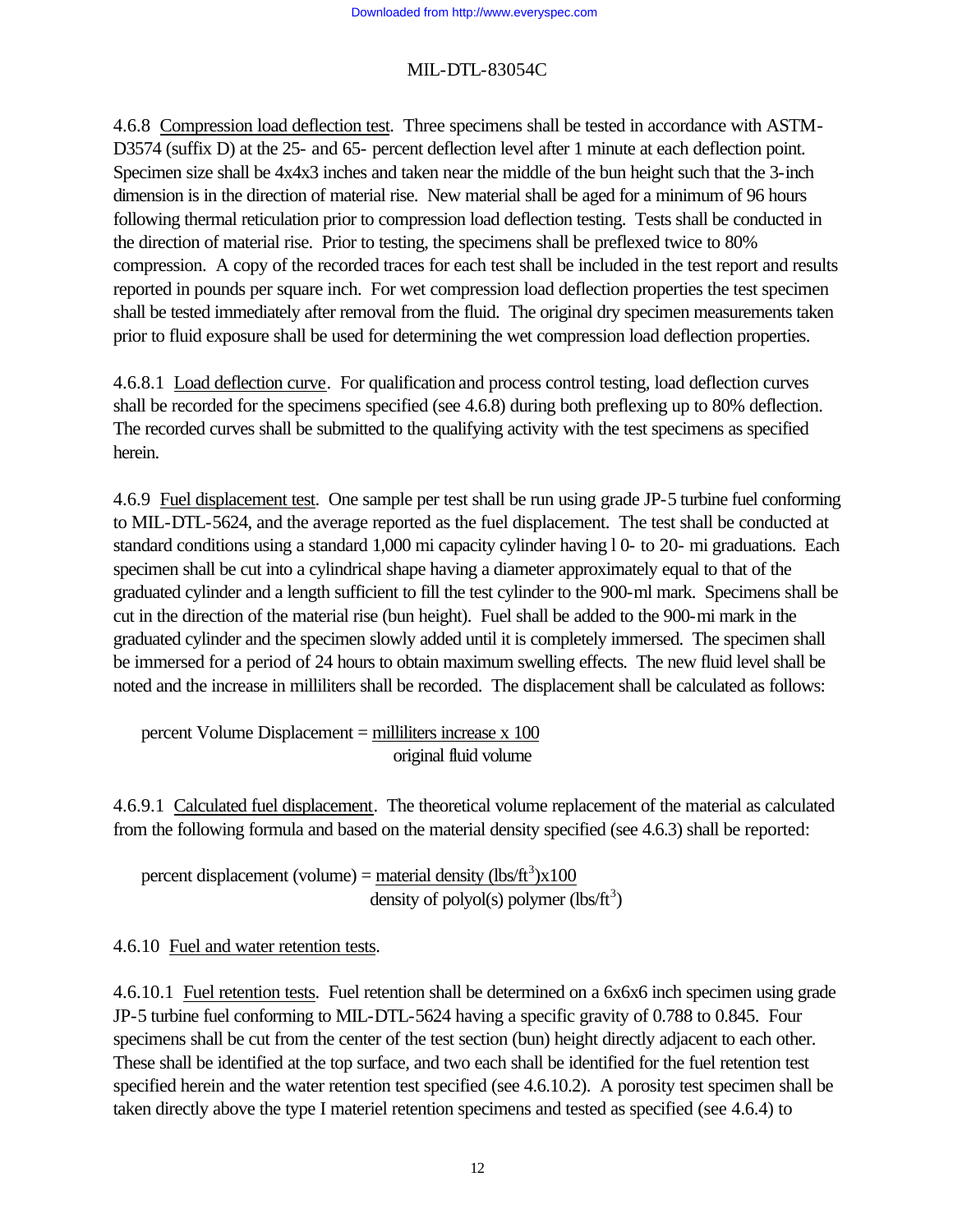4.6.8 Compression load deflection test. Three specimens shall be tested in accordance with ASTM-D3574 (suffix D) at the 25- and 65- percent deflection level after 1 minute at each deflection point. Specimen size shall be 4x4x3 inches and taken near the middle of the bun height such that the 3-inch dimension is in the direction of material rise. New material shall be aged for a minimum of 96 hours following thermal reticulation prior to compression load deflection testing. Tests shall be conducted in the direction of material rise. Prior to testing, the specimens shall be preflexed twice to 80% compression. A copy of the recorded traces for each test shall be included in the test report and results reported in pounds per square inch. For wet compression load deflection properties the test specimen shall be tested immediately after removal from the fluid. The original dry specimen measurements taken prior to fluid exposure shall be used for determining the wet compression load deflection properties.

4.6.8.1 Load deflection curve. For qualification and process control testing, load deflection curves shall be recorded for the specimens specified (see 4.6.8) during both preflexing up to 80% deflection. The recorded curves shall be submitted to the qualifying activity with the test specimens as specified herein.

4.6.9 Fuel displacement test. One sample per test shall be run using grade JP-5 turbine fuel conforming to MIL-DTL-5624, and the average reported as the fuel displacement. The test shall be conducted at standard conditions using a standard 1,000 mi capacity cylinder having l 0- to 20- mi graduations. Each specimen shall be cut into a cylindrical shape having a diameter approximately equal to that of the graduated cylinder and a length sufficient to fill the test cylinder to the 900-ml mark. Specimens shall be cut in the direction of the material rise (bun height). Fuel shall be added to the 900-mi mark in the graduated cylinder and the specimen slowly added until it is completely immersed. The specimen shall be immersed for a period of 24 hours to obtain maximum swelling effects. The new fluid level shall be noted and the increase in milliliters shall be recorded. The displacement shall be calculated as follows:

percent Volume Displacement = milliliters increase x 100 original fluid volume

4.6.9.1 Calculated fuel displacement. The theoretical volume replacement of the material as calculated from the following formula and based on the material density specified (see 4.6.3) shall be reported:

percent displacement (volume) =  $\frac{\text{material density}}{\text{(lbs/ft}^3)\times 100}$ density of polyol(s) polymer  $(lbs/ft^3)$ 

4.6.10 Fuel and water retention tests.

4.6.10.1 Fuel retention tests. Fuel retention shall be determined on a 6x6x6 inch specimen using grade JP-5 turbine fuel conforming to MIL-DTL-5624 having a specific gravity of 0.788 to 0.845. Four specimens shall be cut from the center of the test section (bun) height directly adjacent to each other. These shall be identified at the top surface, and two each shall be identified for the fuel retention test specified herein and the water retention test specified (see 4.6.10.2). A porosity test specimen shall be taken directly above the type I materiel retention specimens and tested as specified (see 4.6.4) to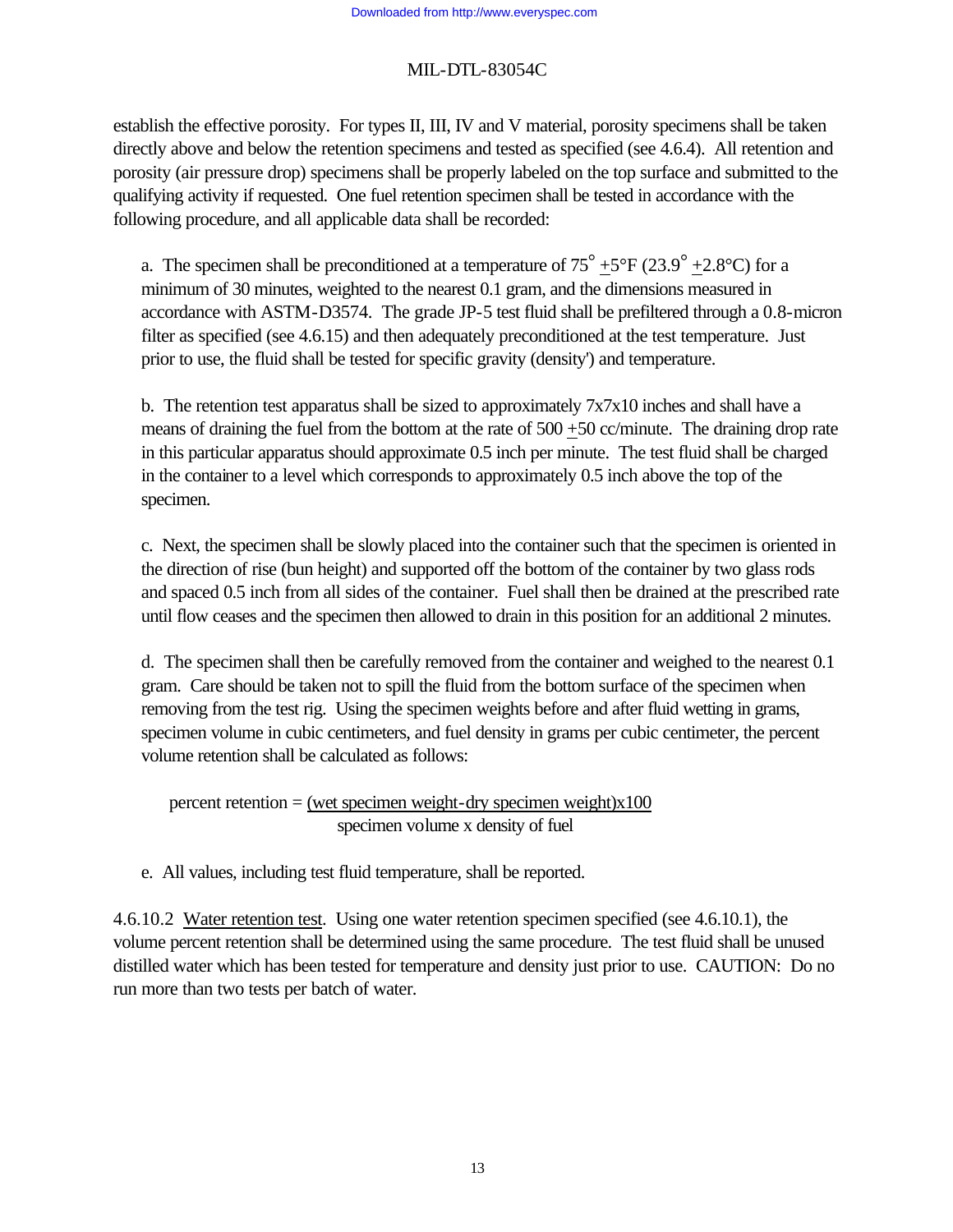establish the effective porosity. For types II, III, IV and V material, porosity specimens shall be taken directly above and below the retention specimens and tested as specified (see 4.6.4). All retention and porosity (air pressure drop) specimens shall be properly labeled on the top surface and submitted to the qualifying activity if requested. One fuel retention specimen shall be tested in accordance with the following procedure, and all applicable data shall be recorded:

a. The specimen shall be preconditioned at a temperature of  $75^{\circ}$  +5°F (23.9<sup>°</sup> +2.8°C) for a minimum of 30 minutes, weighted to the nearest 0.1 gram, and the dimensions measured in accordance with ASTM-D3574. The grade JP-5 test fluid shall be prefiltered through a 0.8-micron filter as specified (see 4.6.15) and then adequately preconditioned at the test temperature. Just prior to use, the fluid shall be tested for specific gravity (density') and temperature.

b. The retention test apparatus shall be sized to approximately  $7x7x10$  inches and shall have a means of draining the fuel from the bottom at the rate of  $500 + 50$  cc/minute. The draining drop rate in this particular apparatus should approximate 0.5 inch per minute. The test fluid shall be charged in the container to a level which corresponds to approximately 0.5 inch above the top of the specimen.

c. Next, the specimen shall be slowly placed into the container such that the specimen is oriented in the direction of rise (bun height) and supported off the bottom of the container by two glass rods and spaced 0.5 inch from all sides of the container. Fuel shall then be drained at the prescribed rate until flow ceases and the specimen then allowed to drain in this position for an additional 2 minutes.

d. The specimen shall then be carefully removed from the container and weighed to the nearest 0.1 gram. Care should be taken not to spill the fluid from the bottom surface of the specimen when removing from the test rig. Using the specimen weights before and after fluid wetting in grams, specimen volume in cubic centimeters, and fuel density in grams per cubic centimeter, the percent volume retention shall be calculated as follows:

percent retention = (wet specimen weight-dry specimen weight)x100 specimen volume x density of fuel

e. All values, including test fluid temperature, shall be reported.

4.6.10.2 Water retention test. Using one water retention specimen specified (see 4.6.10.1), the volume percent retention shall be determined using the same procedure. The test fluid shall be unused distilled water which has been tested for temperature and density just prior to use. CAUTION: Do no run more than two tests per batch of water.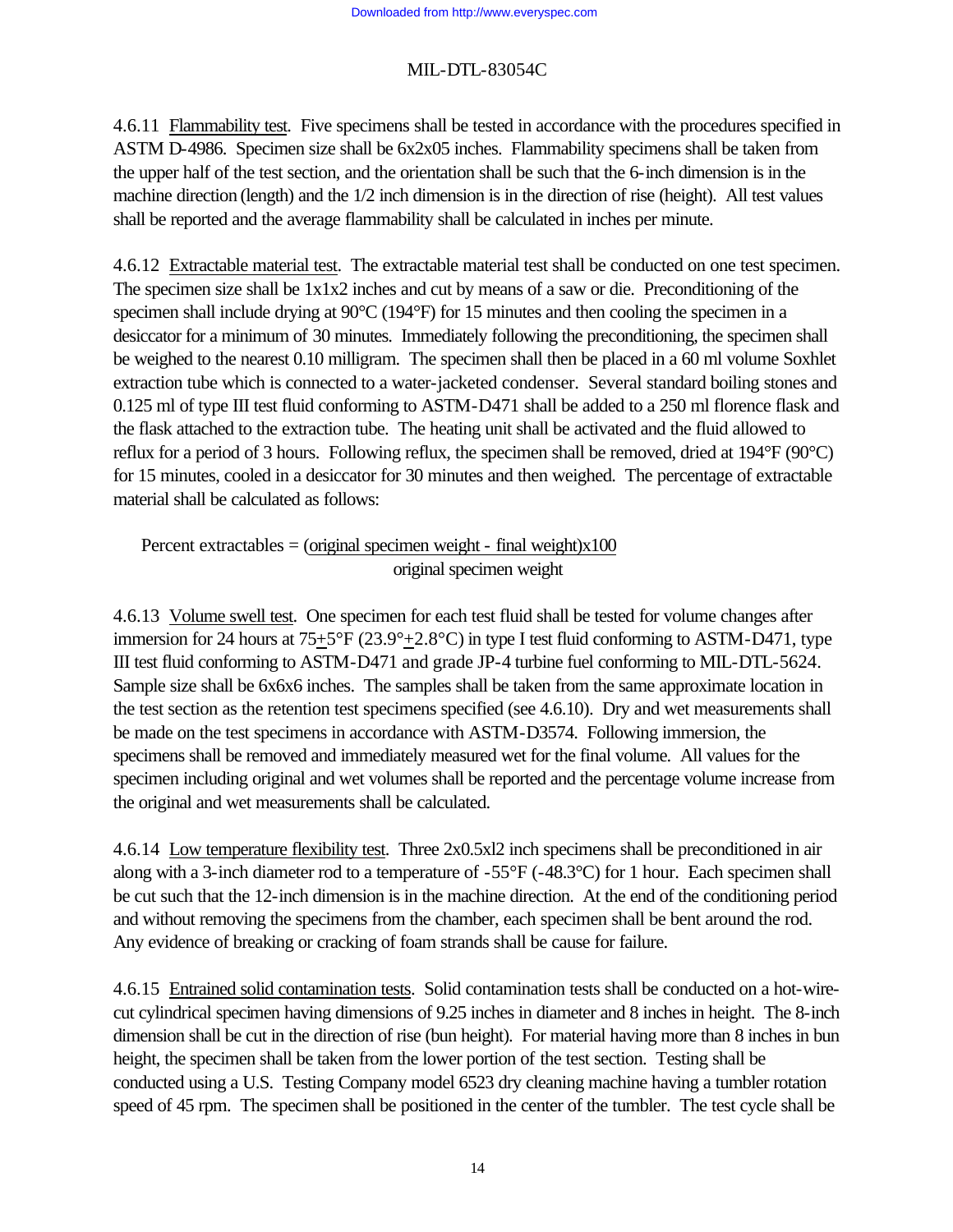4.6.11 Flammability test. Five specimens shall be tested in accordance with the procedures specified in ASTM D-4986. Specimen size shall be 6x2x05 inches. Flammability specimens shall be taken from the upper half of the test section, and the orientation shall be such that the 6-inch dimension is in the machine direction (length) and the 1/2 inch dimension is in the direction of rise (height). All test values shall be reported and the average flammability shall be calculated in inches per minute.

4.6.12 Extractable material test. The extractable material test shall be conducted on one test specimen. The specimen size shall be 1x1x2 inches and cut by means of a saw or die. Preconditioning of the specimen shall include drying at 90°C (194°F) for 15 minutes and then cooling the specimen in a desiccator for a minimum of 30 minutes. Immediately following the preconditioning, the specimen shall be weighed to the nearest 0.10 milligram. The specimen shall then be placed in a 60 ml volume Soxhlet extraction tube which is connected to a water-jacketed condenser. Several standard boiling stones and 0.125 ml of type III test fluid conforming to ASTM-D471 shall be added to a 250 ml florence flask and the flask attached to the extraction tube. The heating unit shall be activated and the fluid allowed to reflux for a period of 3 hours. Following reflux, the specimen shall be removed, dried at 194°F (90°C) for 15 minutes, cooled in a desiccator for 30 minutes and then weighed. The percentage of extractable material shall be calculated as follows:

Percent extractables  $=$  (original specimen weight - final weight)x100 original specimen weight

4.6.13 Volume swell test. One specimen for each test fluid shall be tested for volume changes after immersion for 24 hours at 75+5°F (23.9°+2.8°C) in type I test fluid conforming to ASTM-D471, type III test fluid conforming to ASTM-D471 and grade JP-4 turbine fuel conforming to MIL-DTL-5624. Sample size shall be 6x6x6 inches. The samples shall be taken from the same approximate location in the test section as the retention test specimens specified (see 4.6.10). Dry and wet measurements shall be made on the test specimens in accordance with ASTM-D3574. Following immersion, the specimens shall be removed and immediately measured wet for the final volume. All values for the specimen including original and wet volumes shall be reported and the percentage volume increase from the original and wet measurements shall be calculated.

4.6.14 Low temperature flexibility test. Three 2x0.5xl2 inch specimens shall be preconditioned in air along with a 3-inch diameter rod to a temperature of -55°F (-48.3°C) for 1 hour. Each specimen shall be cut such that the 12-inch dimension is in the machine direction. At the end of the conditioning period and without removing the specimens from the chamber, each specimen shall be bent around the rod. Any evidence of breaking or cracking of foam strands shall be cause for failure.

4.6.15 Entrained solid contamination tests. Solid contamination tests shall be conducted on a hot-wirecut cylindrical specimen having dimensions of 9.25 inches in diameter and 8 inches in height. The 8-inch dimension shall be cut in the direction of rise (bun height). For material having more than 8 inches in bun height, the specimen shall be taken from the lower portion of the test section. Testing shall be conducted using a U.S. Testing Company model 6523 dry cleaning machine having a tumbler rotation speed of 45 rpm. The specimen shall be positioned in the center of the tumbler. The test cycle shall be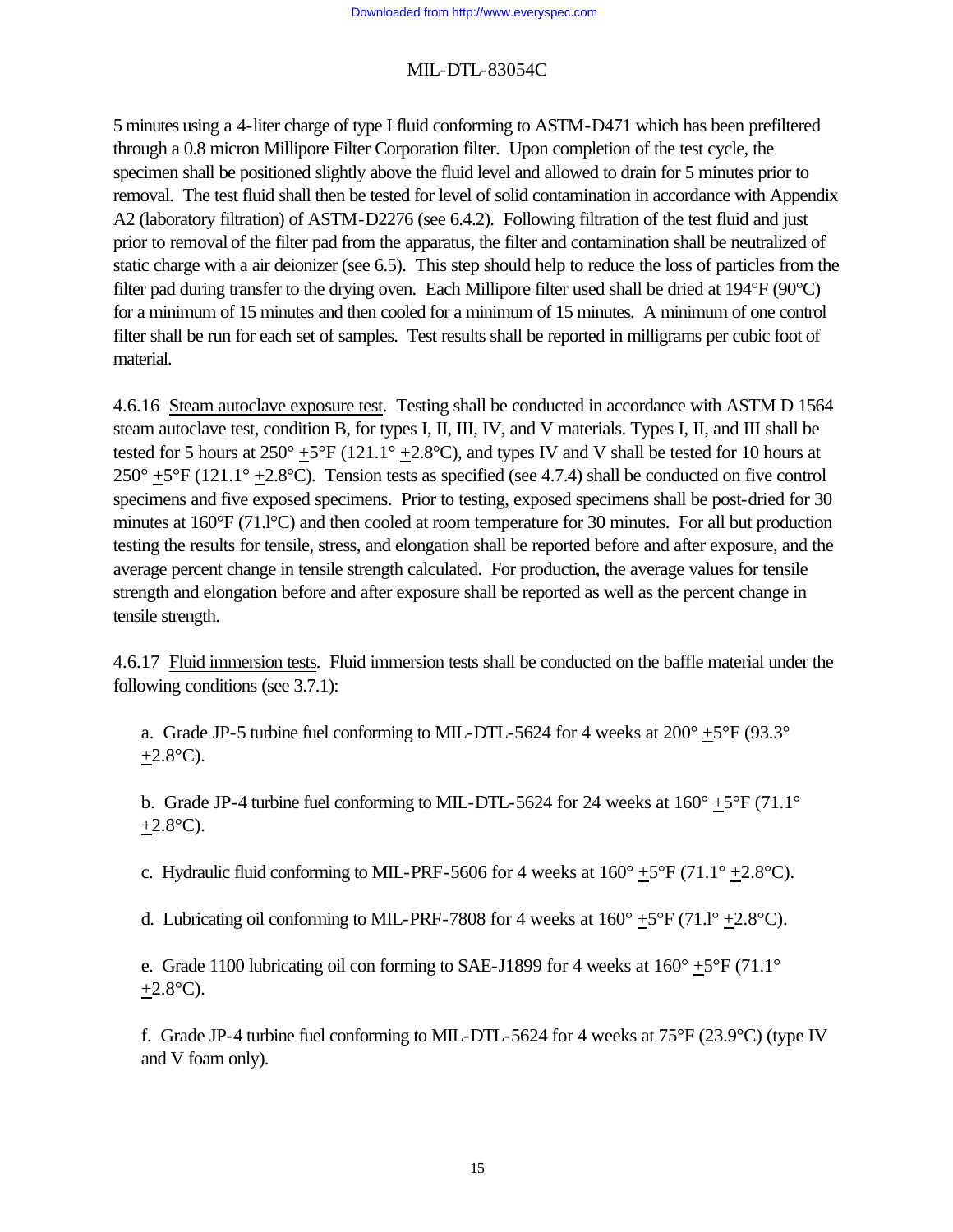5 minutes using a 4-liter charge of type I fluid conforming to ASTM-D471 which has been prefiltered through a 0.8 micron Millipore Filter Corporation filter. Upon completion of the test cycle, the specimen shall be positioned slightly above the fluid level and allowed to drain for 5 minutes prior to removal. The test fluid shall then be tested for level of solid contamination in accordance with Appendix A2 (laboratory filtration) of ASTM-D2276 (see 6.4.2). Following filtration of the test fluid and just prior to removal of the filter pad from the apparatus, the filter and contamination shall be neutralized of static charge with a air deionizer (see 6.5). This step should help to reduce the loss of particles from the filter pad during transfer to the drying oven. Each Millipore filter used shall be dried at 194°F (90°C) for a minimum of 15 minutes and then cooled for a minimum of 15 minutes. A minimum of one control filter shall be run for each set of samples. Test results shall be reported in milligrams per cubic foot of material.

4.6.16 Steam autoclave exposure test. Testing shall be conducted in accordance with ASTM D 1564 steam autoclave test, condition B, for types I, II, III, IV, and V materials. Types I, II, and III shall be tested for 5 hours at  $250^{\circ}$  +5°F (121.1° +2.8°C), and types IV and V shall be tested for 10 hours at  $250^{\circ}$  +5°F (121.1° +2.8°C). Tension tests as specified (see 4.7.4) shall be conducted on five control specimens and five exposed specimens. Prior to testing, exposed specimens shall be post-dried for 30 minutes at 160°F (71.l°C) and then cooled at room temperature for 30 minutes. For all but production testing the results for tensile, stress, and elongation shall be reported before and after exposure, and the average percent change in tensile strength calculated. For production, the average values for tensile strength and elongation before and after exposure shall be reported as well as the percent change in tensile strength.

4.6.17 Fluid immersion tests. Fluid immersion tests shall be conducted on the baffle material under the following conditions (see 3.7.1):

a. Grade JP-5 turbine fuel conforming to MIL-DTL-5624 for 4 weeks at  $200^{\circ}$  +5°F (93.3°)  $+2.8$ °C).

b. Grade JP-4 turbine fuel conforming to MIL-DTL-5624 for 24 weeks at  $160^{\circ}$  +5°F (71.1°  $+2.8$ °C).

c. Hydraulic fluid conforming to MIL-PRF-5606 for 4 weeks at  $160^{\circ}$  +5°F (71.1° +2.8°C).

d. Lubricating oil conforming to MIL-PRF-7808 for 4 weeks at  $160^{\circ}$  +5°F (71.1° +2.8°C).

e. Grade 1100 lubricating oil con forming to SAE-J1899 for 4 weeks at  $160^{\circ}$  +5°F (71.1°  $+2.8$ °C).

f. Grade JP-4 turbine fuel conforming to MIL-DTL-5624 for 4 weeks at  $75^{\circ}F(23.9^{\circ}C)$  (type IV and V foam only).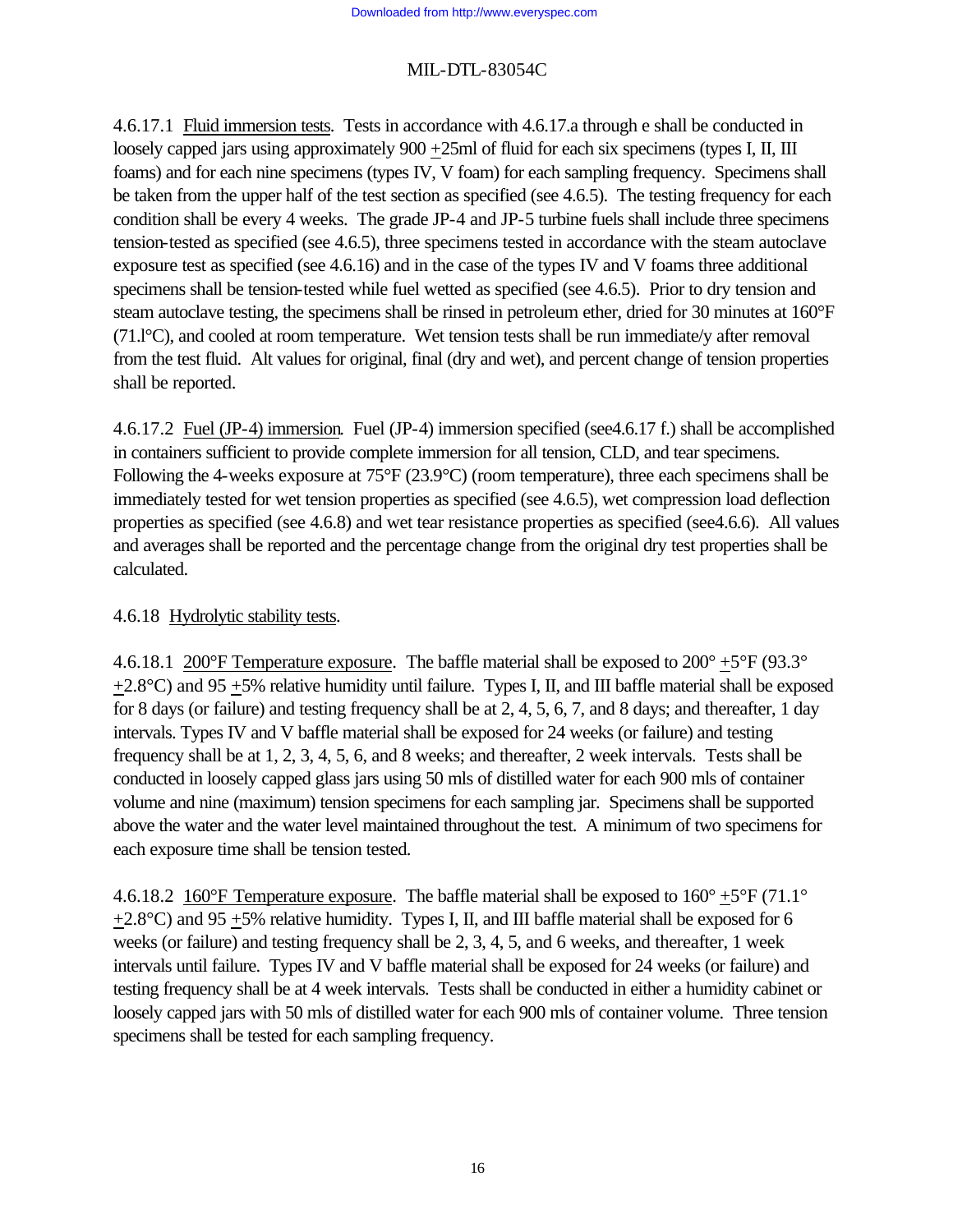4.6.17.1 Fluid immersion tests. Tests in accordance with 4.6.17.a through e shall be conducted in loosely capped jars using approximately 900 +25ml of fluid for each six specimens (types I, II, III foams) and for each nine specimens (types IV, V foam) for each sampling frequency. Specimens shall be taken from the upper half of the test section as specified (see 4.6.5). The testing frequency for each condition shall be every 4 weeks. The grade JP-4 and JP-5 turbine fuels shall include three specimens tension-tested as specified (see 4.6.5), three specimens tested in accordance with the steam autoclave exposure test as specified (see 4.6.16) and in the case of the types IV and V foams three additional specimens shall be tension-tested while fuel wetted as specified (see 4.6.5). Prior to dry tension and steam autoclave testing, the specimens shall be rinsed in petroleum ether, dried for 30 minutes at 160°F (71.l°C), and cooled at room temperature. Wet tension tests shall be run immediate/y after removal from the test fluid. Alt values for original, final (dry and wet), and percent change of tension properties shall be reported.

4.6.17.2 Fuel (JP-4) immersion. Fuel (JP-4) immersion specified (see4.6.17 f.) shall be accomplished in containers sufficient to provide complete immersion for all tension, CLD, and tear specimens. Following the 4-weeks exposure at 75°F (23.9°C) (room temperature), three each specimens shall be immediately tested for wet tension properties as specified (see 4.6.5), wet compression load deflection properties as specified (see 4.6.8) and wet tear resistance properties as specified (see4.6.6). All values and averages shall be reported and the percentage change from the original dry test properties shall be calculated.

#### 4.6.18 Hydrolytic stability tests.

4.6.18.1 200°F Temperature exposure. The baffle material shall be exposed to  $200^{\circ}$  +5°F (93.3°)  $+2.8^{\circ}$ C) and 95  $+5\%$  relative humidity until failure. Types I, II, and III baffle material shall be exposed for 8 days (or failure) and testing frequency shall be at 2, 4, 5, 6, 7, and 8 days; and thereafter, 1 day intervals. Types IV and V baffle material shall be exposed for 24 weeks (or failure) and testing frequency shall be at 1, 2, 3, 4, 5, 6, and 8 weeks; and thereafter, 2 week intervals. Tests shall be conducted in loosely capped glass jars using 50 mls of distilled water for each 900 mls of container volume and nine (maximum) tension specimens for each sampling jar. Specimens shall be supported above the water and the water level maintained throughout the test. A minimum of two specimens for each exposure time shall be tension tested.

4.6.18.2 160°F Temperature exposure. The baffle material shall be exposed to  $160^{\circ}$  +5°F (71.1°  $+2.8^{\circ}$ C) and 95  $+5\%$  relative humidity. Types I, II, and III baffle material shall be exposed for 6 weeks (or failure) and testing frequency shall be 2, 3, 4, 5, and 6 weeks, and thereafter, 1 week intervals until failure. Types IV and V baffle material shall be exposed for 24 weeks (or failure) and testing frequency shall be at 4 week intervals. Tests shall be conducted in either a humidity cabinet or loosely capped jars with 50 mls of distilled water for each 900 mls of container volume. Three tension specimens shall be tested for each sampling frequency.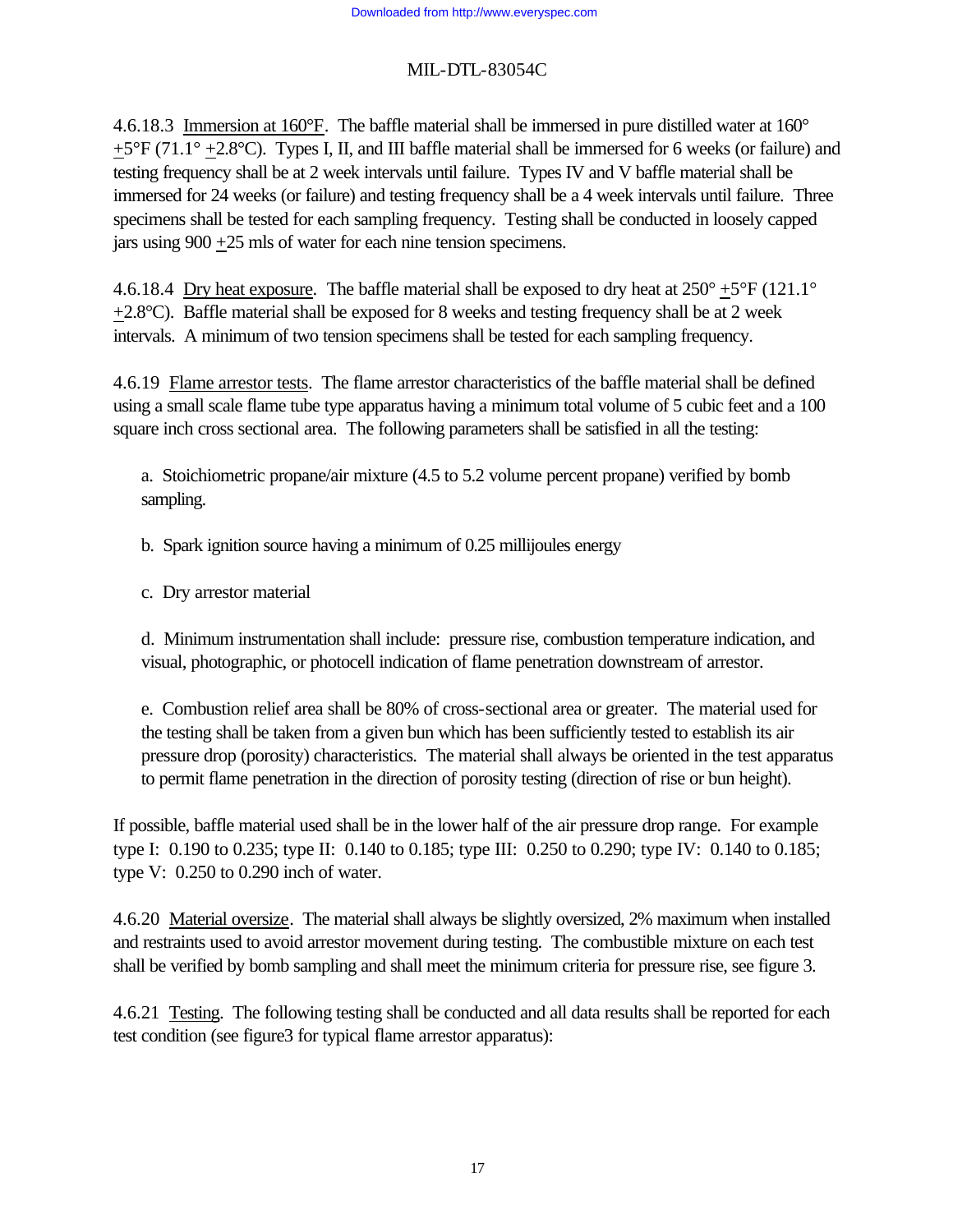4.6.18.3 Immersion at 160°F. The baffle material shall be immersed in pure distilled water at 160°  $+5^{\circ}F(71.1^{\circ}+2.8^{\circ}C)$ . Types I, II, and III baffle material shall be immersed for 6 weeks (or failure) and testing frequency shall be at 2 week intervals until failure. Types IV and V baffle material shall be immersed for 24 weeks (or failure) and testing frequency shall be a 4 week intervals until failure. Three specimens shall be tested for each sampling frequency. Testing shall be conducted in loosely capped jars using 900 +25 mls of water for each nine tension specimens.

4.6.18.4 Dry heat exposure. The baffle material shall be exposed to dry heat at  $250^{\circ}$  +5°F (121.1°  $+2.8$ °C). Baffle material shall be exposed for 8 weeks and testing frequency shall be at 2 week intervals. A minimum of two tension specimens shall be tested for each sampling frequency.

4.6.19 Flame arrestor tests. The flame arrestor characteristics of the baffle material shall be defined using a small scale flame tube type apparatus having a minimum total volume of 5 cubic feet and a 100 square inch cross sectional area. The following parameters shall be satisfied in all the testing:

a. Stoichiometric propane/air mixture (4.5 to 5.2 volume percent propane) verified by bomb sampling.

b. Spark ignition source having a minimum of 0.25 millijoules energy

c. Dry arrestor material

d. Minimum instrumentation shall include: pressure rise, combustion temperature indication, and visual, photographic, or photocell indication of flame penetration downstream of arrestor.

e. Combustion relief area shall be 80% of cross-sectional area or greater. The material used for the testing shall be taken from a given bun which has been sufficiently tested to establish its air pressure drop (porosity) characteristics. The material shall always be oriented in the test apparatus to permit flame penetration in the direction of porosity testing (direction of rise or bun height).

If possible, baffle material used shall be in the lower half of the air pressure drop range. For example type I: 0.190 to 0.235; type II: 0.140 to 0.185; type III: 0.250 to 0.290; type IV: 0.140 to 0.185; type V: 0.250 to 0.290 inch of water.

4.6.20 Material oversize. The material shall always be slightly oversized, 2% maximum when installed and restraints used to avoid arrestor movement during testing. The combustible mixture on each test shall be verified by bomb sampling and shall meet the minimum criteria for pressure rise, see figure 3.

4.6.21 Testing. The following testing shall be conducted and all data results shall be reported for each test condition (see figure3 for typical flame arrestor apparatus):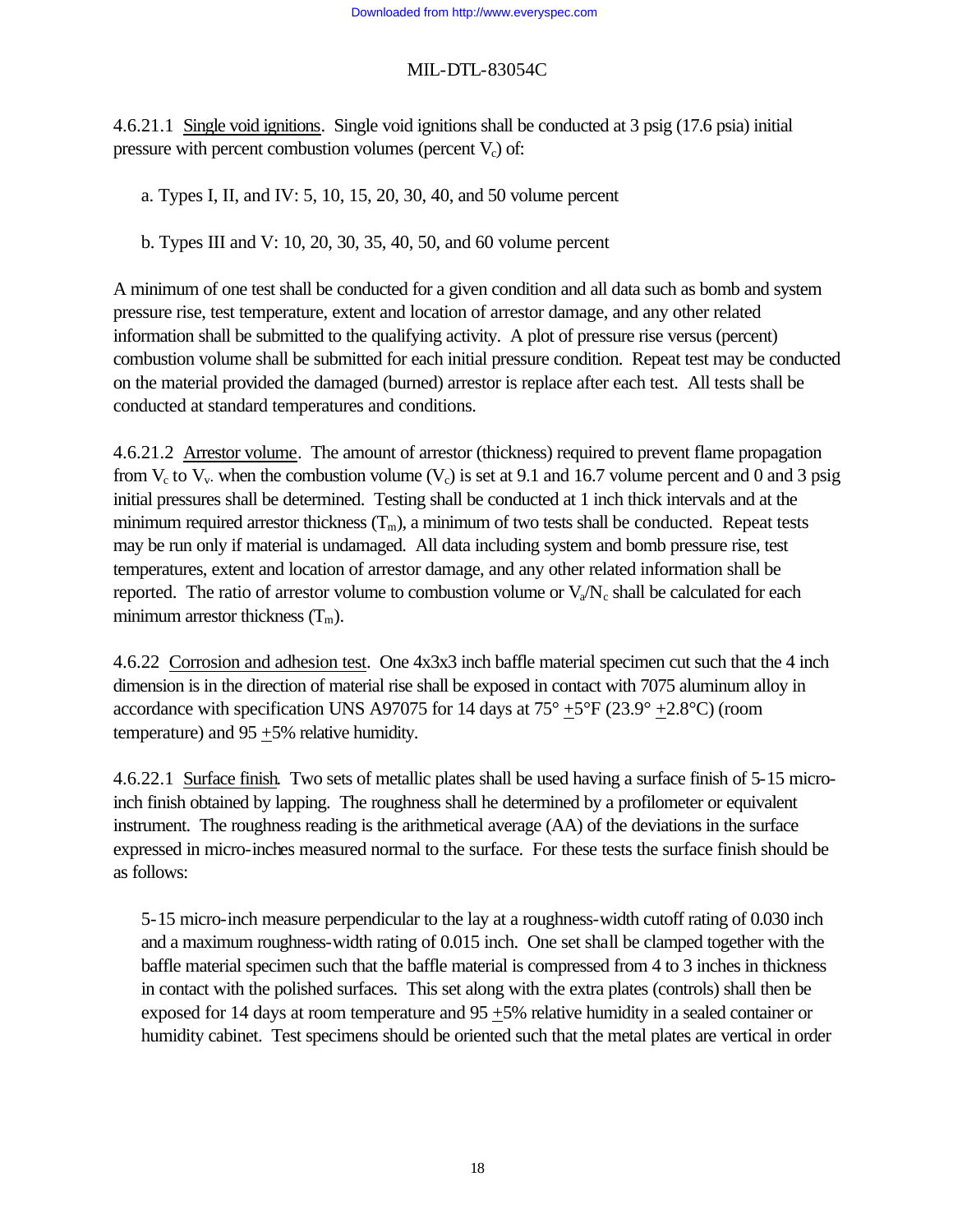4.6.21.1 Single void ignitions. Single void ignitions shall be conducted at 3 psig (17.6 psia) initial pressure with percent combustion volumes (percent  $V_c$ ) of:

a. Types I, II, and IV: 5, 10, 15, 20, 30, 40, and 50 volume percent

b. Types III and V: 10, 20, 30, 35, 40, 50, and 60 volume percent

A minimum of one test shall be conducted for a given condition and all data such as bomb and system pressure rise, test temperature, extent and location of arrestor damage, and any other related information shall be submitted to the qualifying activity. A plot of pressure rise versus (percent) combustion volume shall be submitted for each initial pressure condition. Repeat test may be conducted on the material provided the damaged (burned) arrestor is replace after each test. All tests shall be conducted at standard temperatures and conditions.

4.6.21.2 Arrestor volume. The amount of arrestor (thickness) required to prevent flame propagation from  $V_c$  to  $V_v$ . when the combustion volume ( $V_c$ ) is set at 9.1 and 16.7 volume percent and 0 and 3 psig initial pressures shall be determined. Testing shall be conducted at 1 inch thick intervals and at the minimum required arrestor thickness  $(T_m)$ , a minimum of two tests shall be conducted. Repeat tests may be run only if material is undamaged. All data including system and bomb pressure rise, test temperatures, extent and location of arrestor damage, and any other related information shall be reported. The ratio of arrestor volume to combustion volume or  $V_a/N_c$  shall be calculated for each minimum arrestor thickness  $(T_m)$ .

4.6.22 Corrosion and adhesion test. One 4x3x3 inch baffle material specimen cut such that the 4 inch dimension is in the direction of material rise shall be exposed in contact with 7075 aluminum alloy in accordance with specification UNS A97075 for 14 days at  $75^{\circ}$  +5°F (23.9° +2.8°C) (room temperature) and 95 +5% relative humidity.

4.6.22.1 Surface finish. Two sets of metallic plates shall be used having a surface finish of 5-15 microinch finish obtained by lapping. The roughness shall he determined by a profilometer or equivalent instrument. The roughness reading is the arithmetical average (AA) of the deviations in the surface expressed in micro-inches measured normal to the surface. For these tests the surface finish should be as follows:

5-15 micro-inch measure perpendicular to the lay at a roughness-width cutoff rating of 0.030 inch and a maximum roughness-width rating of 0.015 inch. One set shall be clamped together with the baffle material specimen such that the baffle material is compressed from 4 to 3 inches in thickness in contact with the polished surfaces. This set along with the extra plates (controls) shall then be exposed for 14 days at room temperature and 95 +5% relative humidity in a sealed container or humidity cabinet. Test specimens should be oriented such that the metal plates are vertical in order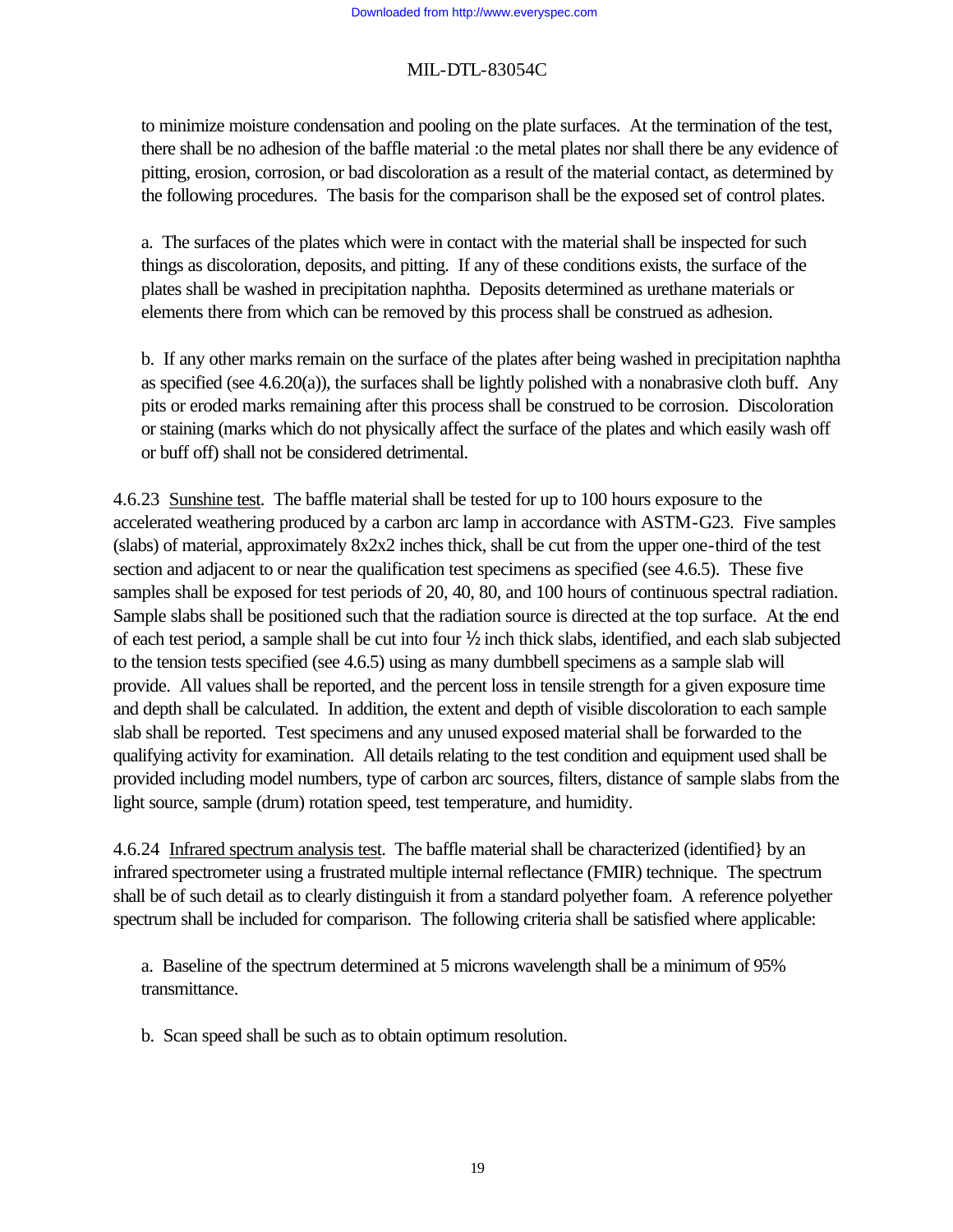to minimize moisture condensation and pooling on the plate surfaces. At the termination of the test, there shall be no adhesion of the baffle material :o the metal plates nor shall there be any evidence of pitting, erosion, corrosion, or bad discoloration as a result of the material contact, as determined by the following procedures. The basis for the comparison shall be the exposed set of control plates.

a. The surfaces of the plates which were in contact with the material shall be inspected for such things as discoloration, deposits, and pitting. If any of these conditions exists, the surface of the plates shall be washed in precipitation naphtha. Deposits determined as urethane materials or elements there from which can be removed by this process shall be construed as adhesion.

b. If any other marks remain on the surface of the plates after being washed in precipitation naphtha as specified (see 4.6.20(a)), the surfaces shall be lightly polished with a nonabrasive cloth buff. Any pits or eroded marks remaining after this process shall be construed to be corrosion. Discoloration or staining (marks which do not physically affect the surface of the plates and which easily wash off or buff off) shall not be considered detrimental.

4.6.23 Sunshine test. The baffle material shall be tested for up to 100 hours exposure to the accelerated weathering produced by a carbon arc lamp in accordance with ASTM-G23. Five samples (slabs) of material, approximately 8x2x2 inches thick, shall be cut from the upper one-third of the test section and adjacent to or near the qualification test specimens as specified (see 4.6.5). These five samples shall be exposed for test periods of 20, 40, 80, and 100 hours of continuous spectral radiation. Sample slabs shall be positioned such that the radiation source is directed at the top surface. At the end of each test period, a sample shall be cut into four ½ inch thick slabs, identified, and each slab subjected to the tension tests specified (see 4.6.5) using as many dumbbell specimens as a sample slab will provide. All values shall be reported, and the percent loss in tensile strength for a given exposure time and depth shall be calculated. In addition, the extent and depth of visible discoloration to each sample slab shall be reported. Test specimens and any unused exposed material shall be forwarded to the qualifying activity for examination. All details relating to the test condition and equipment used shall be provided including model numbers, type of carbon arc sources, filters, distance of sample slabs from the light source, sample (drum) rotation speed, test temperature, and humidity.

4.6.24 Infrared spectrum analysis test. The baffle material shall be characterized (identified} by an infrared spectrometer using a frustrated multiple internal reflectance (FMIR) technique. The spectrum shall be of such detail as to clearly distinguish it from a standard polyether foam. A reference polyether spectrum shall be included for comparison. The following criteria shall be satisfied where applicable:

a. Baseline of the spectrum determined at 5 microns wavelength shall be a minimum of 95% transmittance.

b. Scan speed shall be such as to obtain optimum resolution.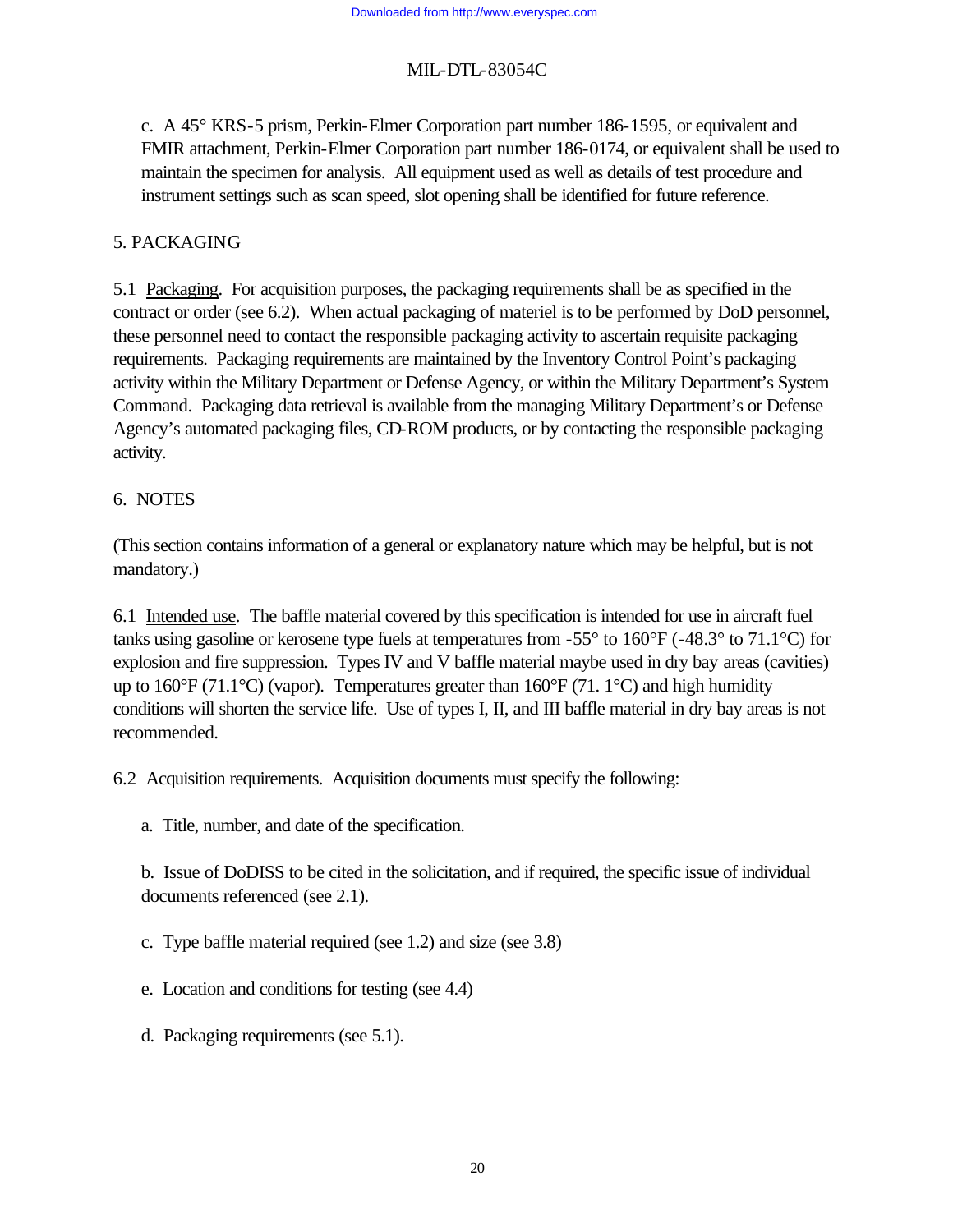c. A 45° KRS-5 prism, Perkin-Elmer Corporation part number 186-1595, or equivalent and FMIR attachment, Perkin-Elmer Corporation part number 186-0174, or equivalent shall be used to maintain the specimen for analysis. All equipment used as well as details of test procedure and instrument settings such as scan speed, slot opening shall be identified for future reference.

#### 5. PACKAGING

5.1 Packaging. For acquisition purposes, the packaging requirements shall be as specified in the contract or order (see 6.2). When actual packaging of materiel is to be performed by DoD personnel, these personnel need to contact the responsible packaging activity to ascertain requisite packaging requirements. Packaging requirements are maintained by the Inventory Control Point's packaging activity within the Military Department or Defense Agency, or within the Military Department's System Command. Packaging data retrieval is available from the managing Military Department's or Defense Agency's automated packaging files, CD-ROM products, or by contacting the responsible packaging activity.

### 6. NOTES

(This section contains information of a general or explanatory nature which may be helpful, but is not mandatory.)

6.1 Intended use. The baffle material covered by this specification is intended for use in aircraft fuel tanks using gasoline or kerosene type fuels at temperatures from -55° to 160°F (-48.3° to 71.1°C) for explosion and fire suppression. Types IV and V baffle material maybe used in dry bay areas (cavities) up to 160 $\rm{^{\circ}F}$  (71.1 $\rm{^{\circ}C}$ ) (vapor). Temperatures greater than 160 $\rm{^{\circ}F}$  (71.1 $\rm{^{\circ}C}$ ) and high humidity conditions will shorten the service life. Use of types I, II, and III baffle material in dry bay areas is not recommended.

6.2 Acquisition requirements. Acquisition documents must specify the following:

a. Title, number, and date of the specification.

b. Issue of DoDISS to be cited in the solicitation, and if required, the specific issue of individual documents referenced (see 2.1).

c. Type baffle material required (see 1.2) and size (see 3.8)

e. Location and conditions for testing (see 4.4)

d. Packaging requirements (see 5.1).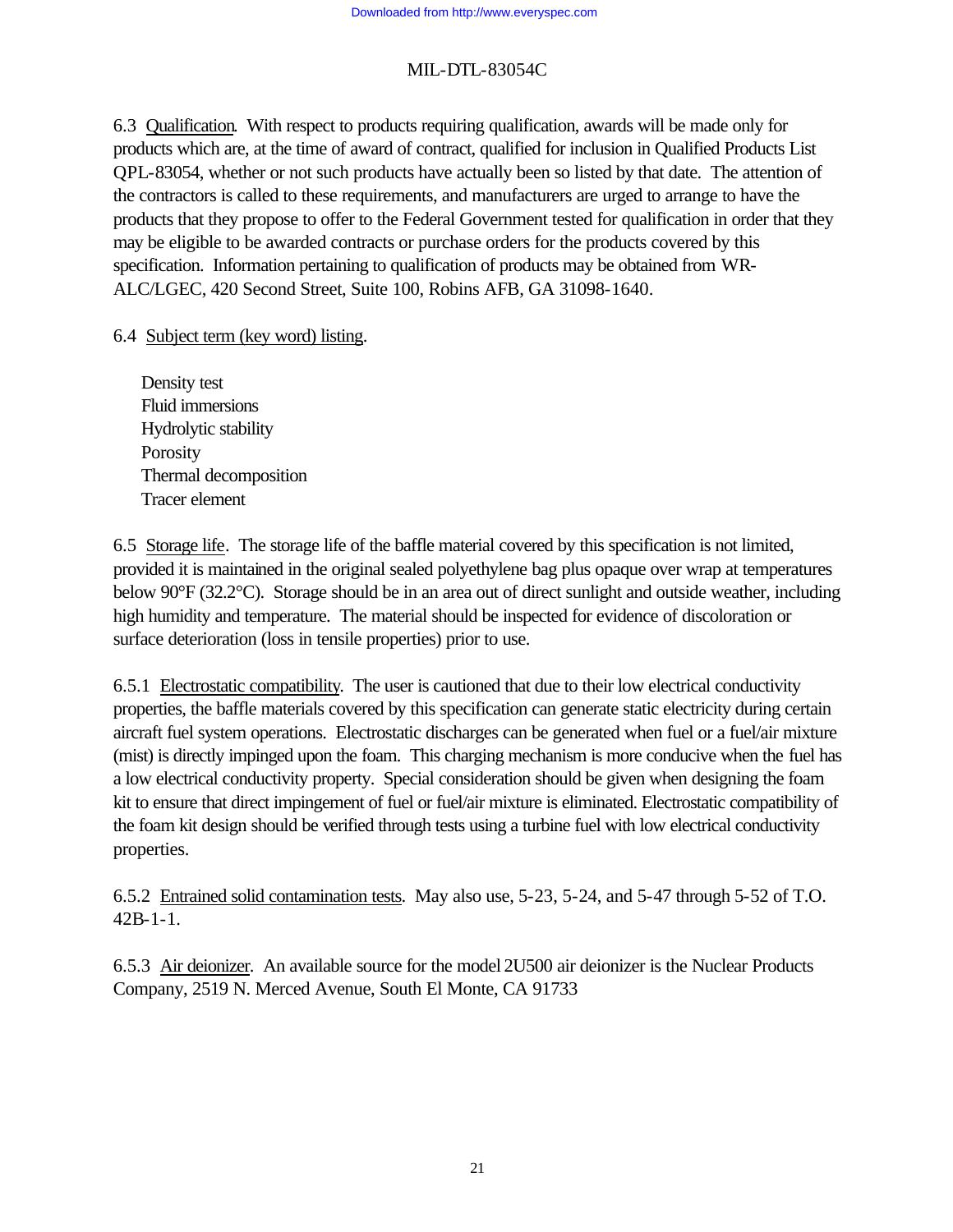6.3 Qualification. With respect to products requiring qualification, awards will be made only for products which are, at the time of award of contract, qualified for inclusion in Qualified Products List QPL-83054, whether or not such products have actually been so listed by that date. The attention of the contractors is called to these requirements, and manufacturers are urged to arrange to have the products that they propose to offer to the Federal Government tested for qualification in order that they may be eligible to be awarded contracts or purchase orders for the products covered by this specification. Information pertaining to qualification of products may be obtained from WR-ALC/LGEC, 420 Second Street, Suite 100, Robins AFB, GA 31098-1640.

6.4 Subject term (key word) listing.

Density test Fluid immersions Hydrolytic stability **Porosity** Thermal decomposition Tracer element

6.5 Storage life. The storage life of the baffle material covered by this specification is not limited, provided it is maintained in the original sealed polyethylene bag plus opaque over wrap at temperatures below 90°F (32.2°C). Storage should be in an area out of direct sunlight and outside weather, including high humidity and temperature. The material should be inspected for evidence of discoloration or surface deterioration (loss in tensile properties) prior to use.

6.5.1 Electrostatic compatibility. The user is cautioned that due to their low electrical conductivity properties, the baffle materials covered by this specification can generate static electricity during certain aircraft fuel system operations. Electrostatic discharges can be generated when fuel or a fuel/air mixture (mist) is directly impinged upon the foam. This charging mechanism is more conducive when the fuel has a low electrical conductivity property. Special consideration should be given when designing the foam kit to ensure that direct impingement of fuel or fuel/air mixture is eliminated. Electrostatic compatibility of the foam kit design should be verified through tests using a turbine fuel with low electrical conductivity properties.

6.5.2 Entrained solid contamination tests. May also use, 5-23, 5-24, and 5-47 through 5-52 of T.O. 42B-1-1.

6.5.3 Air deionizer. An available source for the model 2U500 air deionizer is the Nuclear Products Company, 2519 N. Merced Avenue, South El Monte, CA 91733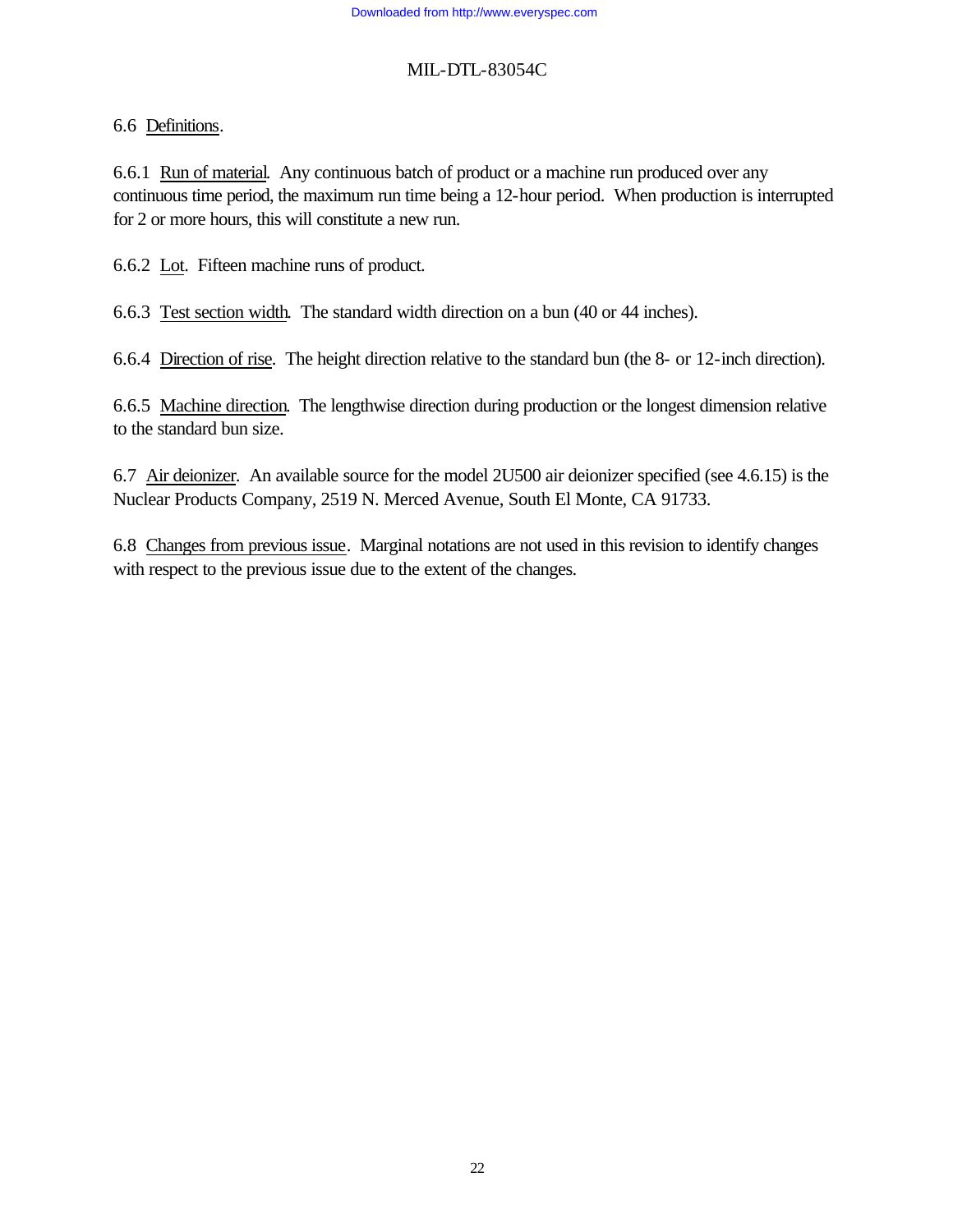### 6.6 Definitions.

6.6.1 Run of material. Any continuous batch of product or a machine run produced over any continuous time period, the maximum run time being a 12-hour period. When production is interrupted for 2 or more hours, this will constitute a new run.

6.6.2 Lot. Fifteen machine runs of product.

6.6.3 Test section width. The standard width direction on a bun (40 or 44 inches).

6.6.4 Direction of rise. The height direction relative to the standard bun (the 8- or 12-inch direction).

6.6.5 Machine direction. The lengthwise direction during production or the longest dimension relative to the standard bun size.

6.7 Air deionizer. An available source for the model 2U500 air deionizer specified (see 4.6.15) is the Nuclear Products Company, 2519 N. Merced Avenue, South El Monte, CA 91733.

6.8 Changes from previous issue. Marginal notations are not used in this revision to identify changes with respect to the previous issue due to the extent of the changes.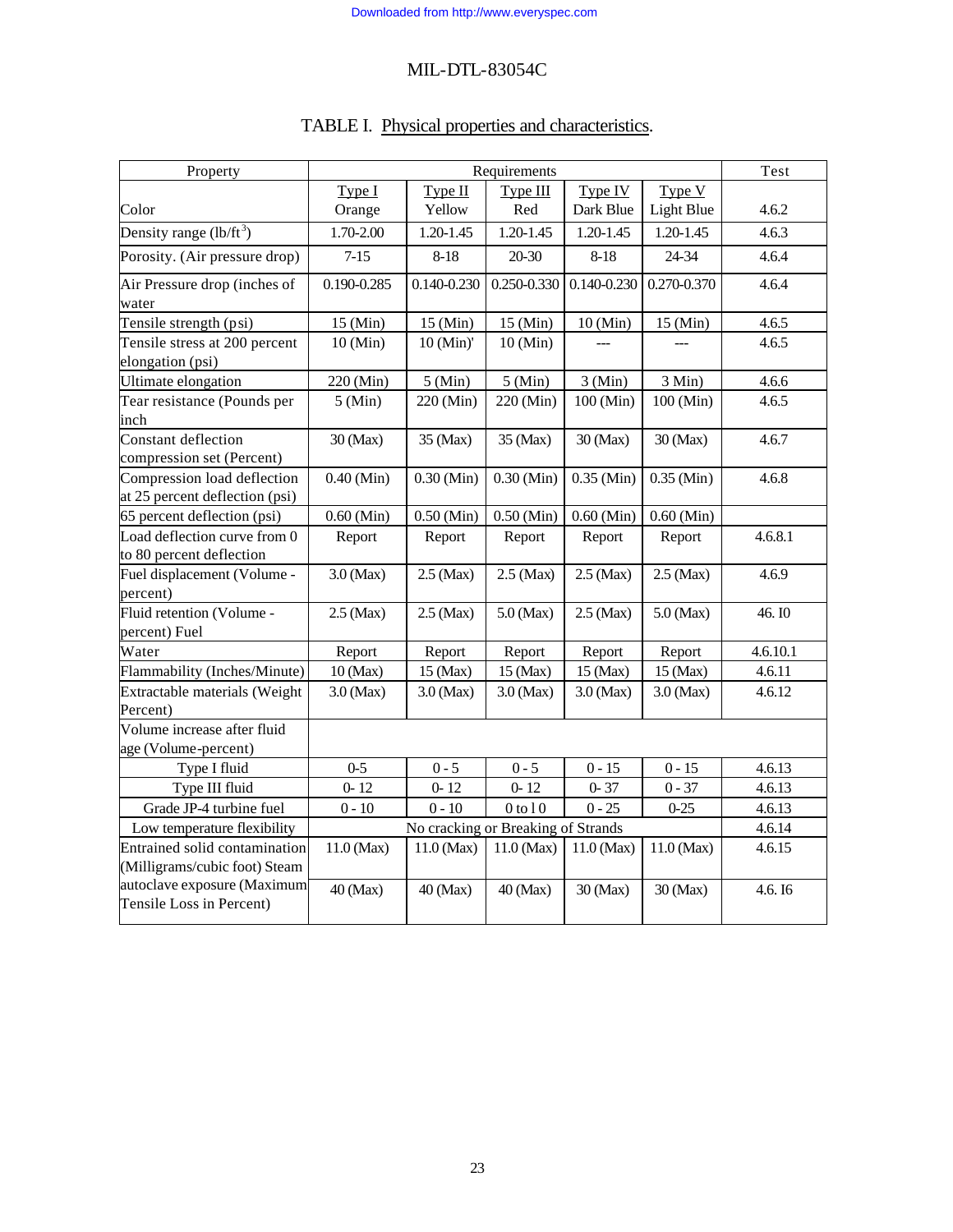|  |  |  | TABLE I. Physical properties and characteristics. |
|--|--|--|---------------------------------------------------|
|--|--|--|---------------------------------------------------|

| Property                                                       | Requirements |                                    |               | Test               |                   |          |
|----------------------------------------------------------------|--------------|------------------------------------|---------------|--------------------|-------------------|----------|
|                                                                | Type I       | Type II                            | Type III      | Type IV            | Type V            |          |
| Color                                                          | Orange       | Yellow                             | Red           | Dark Blue          | <b>Light Blue</b> | 4.6.2    |
| Density range $(lb/ft^3)$                                      | 1.70-2.00    | $1.20 - 1.45$                      | $1.20 - 1.45$ | $1.20 - 1.45$      | 1.20-1.45         | 4.6.3    |
| Porosity. (Air pressure drop)                                  | $7 - 15$     | $8 - 18$                           | 20-30         | $8 - 18$           | 24-34             | 4.6.4    |
| Air Pressure drop (inches of<br>water                          | 0.190-0.285  | 0.140-0.230                        | 0.250-0.330   | $0.140 - 0.230$    | 0.270-0.370       | 4.6.4    |
| Tensile strength (psi)                                         | 15 (Min)     | $15 \text{ (Min)}$                 | 15 (Min)      | 10 (Min)           | 15 (Min)          | 4.6.5    |
| Tensile stress at 200 percent                                  | 10 (Min)     | 10 (Min)'                          | 10 (Min)      |                    |                   | 4.6.5    |
| elongation (psi)                                               |              |                                    |               |                    |                   |          |
| Ultimate elongation                                            | 220 (Min)    | 5 (Min)                            | 5 (Min)       | 3 (Min)            | 3 Min)            | 4.6.6    |
| Tear resistance (Pounds per<br>inch                            | 5 (Min)      | 220 (Min)                          | 220 (Min)     | 100 (Min)          | 100 (Min)         | 4.6.5    |
| <b>Constant deflection</b><br>compression set (Percent)        | 30 (Max)     | 35 (Max)                           | 35 (Max)      | $30 \text{ (Max)}$ | 30 (Max)          | 4.6.7    |
| Compression load deflection<br>at 25 percent deflection (psi)  | $0.40$ (Min) | $0.30$ (Min)                       | $0.30$ (Min)  | $0.35$ (Min)       | $0.35$ (Min)      | 4.6.8    |
| 65 percent deflection (psi)                                    | $0.60$ (Min) | $0.50$ (Min)                       | $0.50$ (Min)  | $0.60$ (Min)       | $0.60$ (Min)      |          |
| Load deflection curve from 0<br>to 80 percent deflection       | Report       | Report                             | Report        | Report             | Report            | 4.6.8.1  |
| Fuel displacement (Volume -<br>percent)                        | $3.0$ (Max)  | $2.5$ (Max)                        | $2.5$ (Max)   | $2.5$ (Max)        | 2.5 (Max)         | 4.6.9    |
| Fluid retention (Volume -<br>percent) Fuel                     | $2.5$ (Max)  | $2.5$ (Max)                        | $5.0$ (Max)   | $2.5$ (Max)        | $5.0$ (Max)       | 46.IO    |
| Water                                                          | Report       | Report                             | Report        | Report             | Report            | 4.6.10.1 |
| Flammability (Inches/Minute)                                   | $10$ (Max)   | 15 (Max)                           | $15$ (Max)    | 15 (Max)           | 15 (Max)          | 4.6.11   |
| Extractable materials (Weight<br>Percent)                      | $3.0$ (Max)  | $3.0$ (Max)                        | $3.0$ (Max)   | 3.0 (Max)          | 3.0 (Max)         | 4.6.12   |
| Volume increase after fluid<br>age (Volume-percent)            |              |                                    |               |                    |                   |          |
| Type I fluid                                                   | $0-5$        | $0 - 5$                            | $0 - 5$       | $0 - 15$           | $0 - 15$          | 4.6.13   |
| Type III fluid                                                 | $0 - 12$     | $0 - 12$                           | $0 - 12$      | $0 - 37$           | $0 - 37$          | 4.6.13   |
| Grade JP-4 turbine fuel                                        | $0 - 10$     | $0 - 10$                           | $0$ to $10$   | $0 - 25$           | $0 - 25$          | 4.6.13   |
| Low temperature flexibility                                    |              | No cracking or Breaking of Strands |               |                    |                   | 4.6.14   |
| Entrained solid contamination<br>(Milligrams/cubic foot) Steam | $11.0$ (Max) | 11.0 (Max)                         | 11.0 (Max)    | $11.0$ (Max)       | $11.0$ (Max)      | 4.6.15   |
| autoclave exposure (Maximum<br>Tensile Loss in Percent)        | 40 (Max)     | 40 (Max)                           | 40 (Max)      | 30 (Max)           | 30 (Max)          | 4.6. I6  |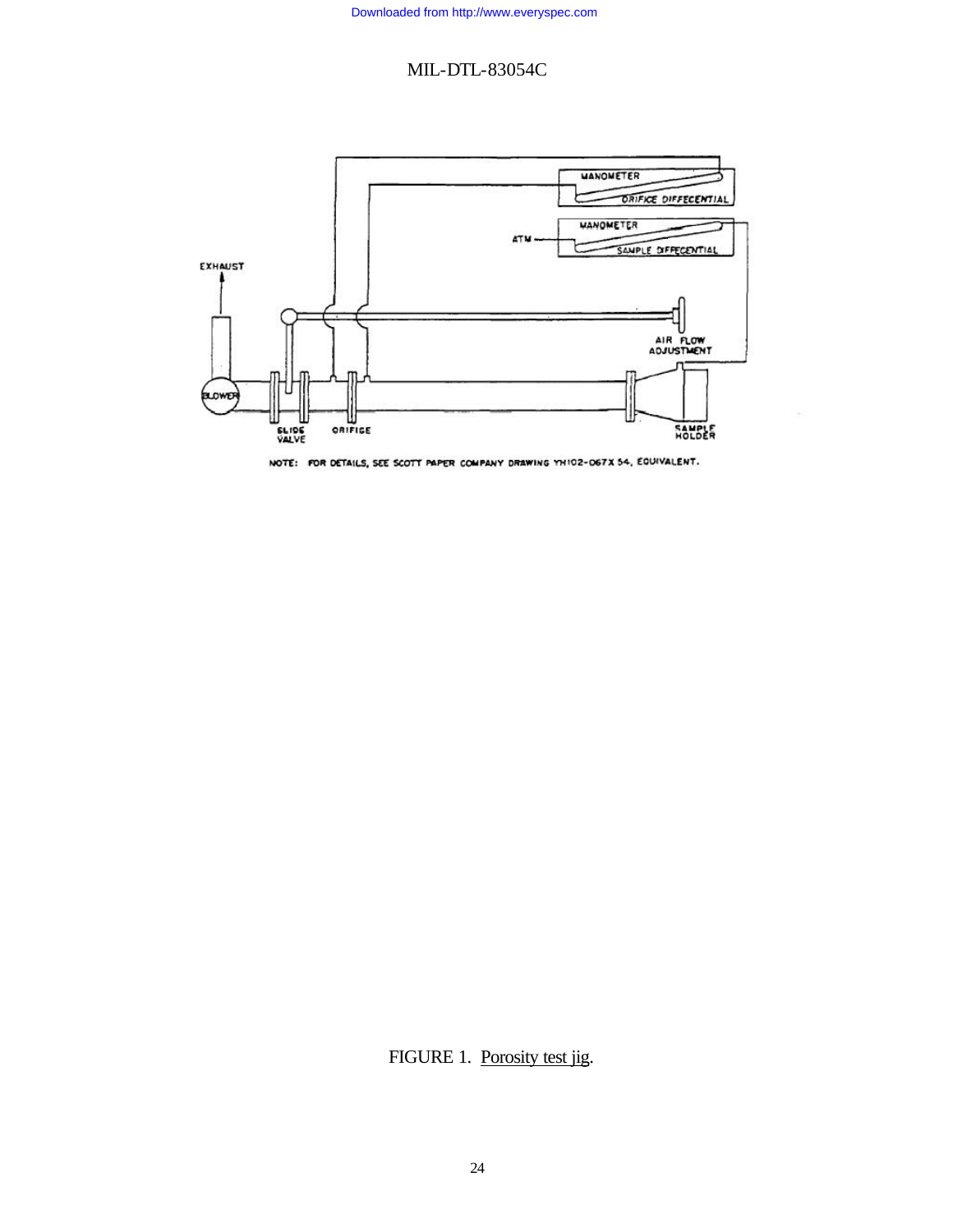

NOTE: FOR DETAILS, SEE SCOTT PAPER COMPANY DRAWING YHIO2-O67X 54, EQUIVALENT.

FIGURE 1. Porosity test jig.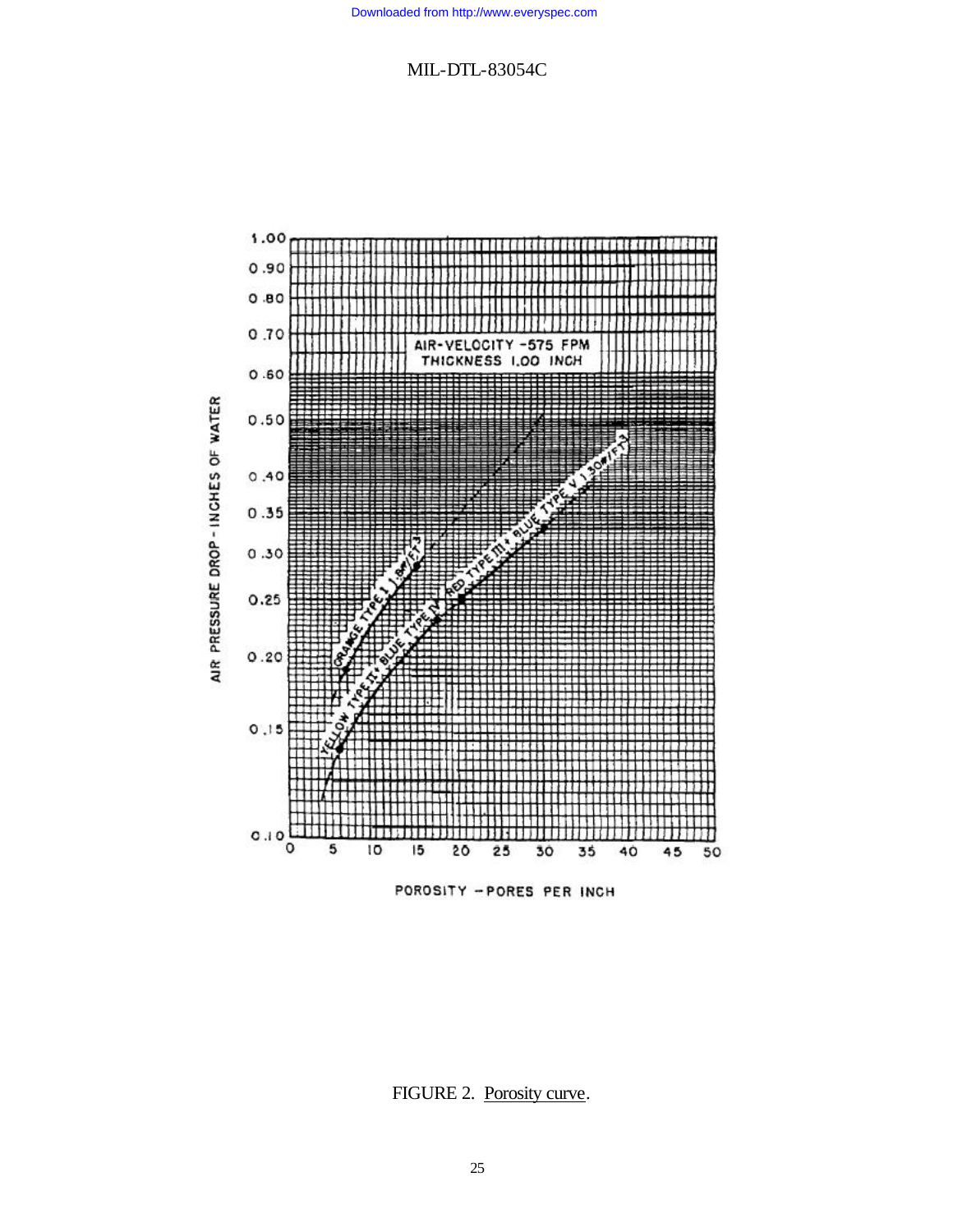

POROSITY -PORES PER INCH

FIGURE 2. Porosity curve.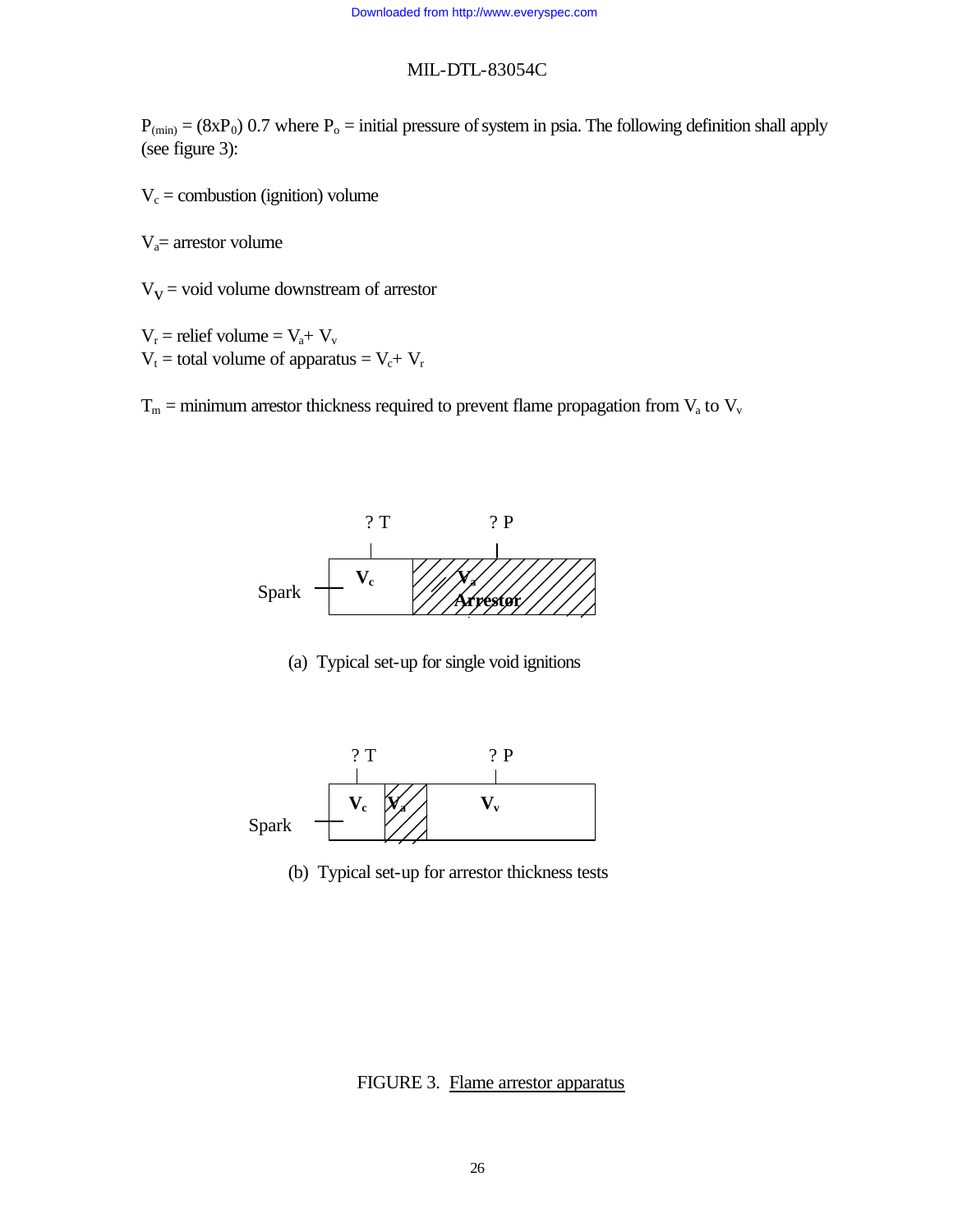$P_{(min)} = (8xP_0)$  0.7 where  $P_0 =$  initial pressure of system in psia. The following definition shall apply (see figure 3):

 $V_c$  = combustion (ignition) volume

 $V_a$ = arrestor volume

 $V<sub>V</sub>$  = void volume downstream of arrestor

 $V_r$  = relief volume =  $V_a + V_v$  $V_t =$  total volume of apparatus =  $V_c + V_r$ 

 $T_m$  = minimum arrestor thickness required to prevent flame propagation from  $V_a$  to  $V_v$ 



(a) Typical set-up for single void ignitions



(b) Typical set-up for arrestor thickness tests

FIGURE 3. Flame arrestor apparatus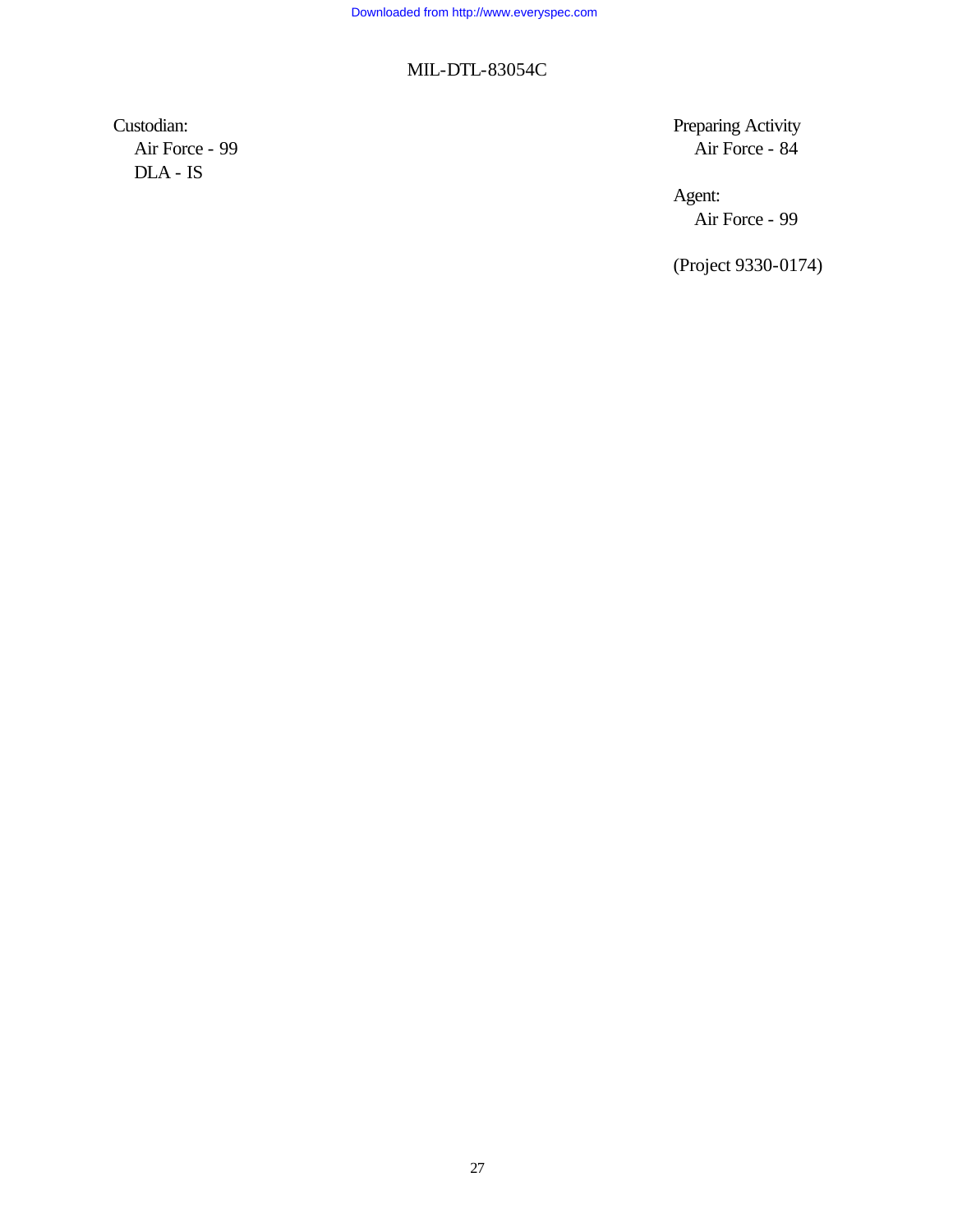Air Force - 99 DLA - IS

Custodian: Preparing Activity

Agent: Air Force - 99

(Project 9330-0174)